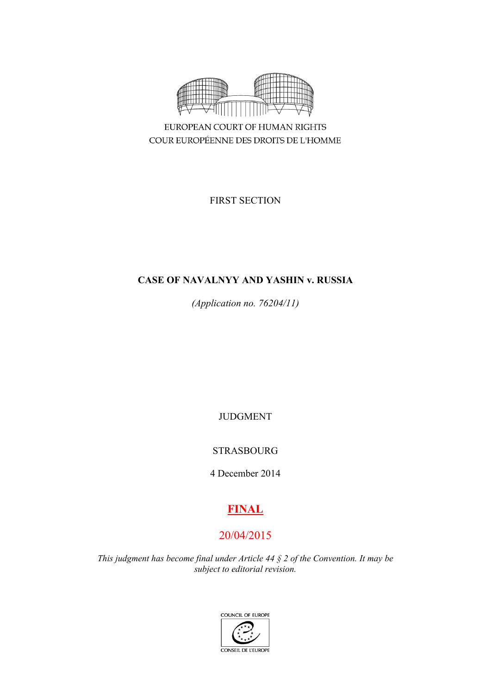

COUR EUROPÉENNE DES DROITS DE L'HOMME

FIRST SECTION

# **CASE OF NAVALNYY AND YASHIN v. RUSSIA**

*(Application no. 76204/11)*

JUDGMENT

STRASBOURG

4 December 2014

# **FINAL**

# 20/04/2015

*This judgment has become final under Article 44 § 2 of the Convention. It may be subject to editorial revision.*

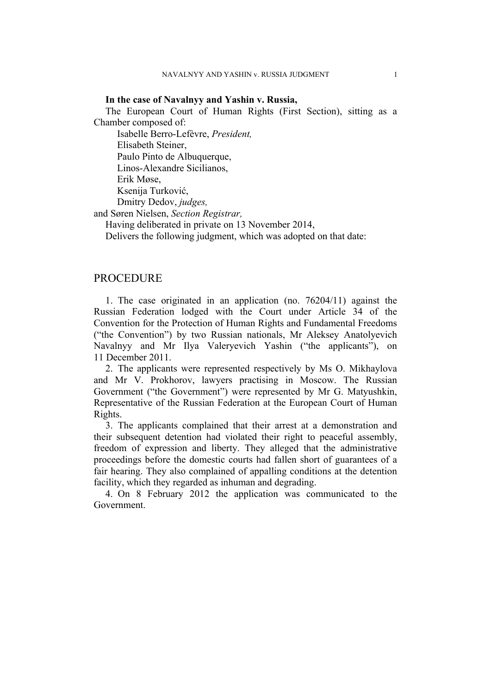## **In the case of Navalnyy and Yashin v. Russia,**

The European Court of Human Rights (First Section), sitting as a Chamber composed of:

Isabelle Berro-Lefèvre, *President,*

Elisabeth Steiner,

Paulo Pinto de Albuquerque,

Linos-Alexandre Sicilianos,

Erik Møse,

Ksenija Turković,

Dmitry Dedov, *judges,*

and Søren Nielsen, *Section Registrar,*

Having deliberated in private on 13 November 2014,

Delivers the following judgment, which was adopted on that date:

# **PROCEDURE**

1. The case originated in an application (no. 76204/11) against the Russian Federation lodged with the Court under Article 34 of the Convention for the Protection of Human Rights and Fundamental Freedoms ("the Convention") by two Russian nationals, Mr Aleksey Anatolyevich Navalnyy and Mr Ilya Valeryevich Yashin ("the applicants"), on 11 December 2011.

2. The applicants were represented respectively by Ms O. Mikhaylova and Mr V. Prokhorov, lawyers practising in Moscow. The Russian Government ("the Government") were represented by Mr G. Matyushkin, Representative of the Russian Federation at the European Court of Human Rights.

3. The applicants complained that their arrest at a demonstration and their subsequent detention had violated their right to peaceful assembly, freedom of expression and liberty. They alleged that the administrative proceedings before the domestic courts had fallen short of guarantees of a fair hearing. They also complained of appalling conditions at the detention facility, which they regarded as inhuman and degrading.

4. On 8 February 2012 the application was communicated to the Government.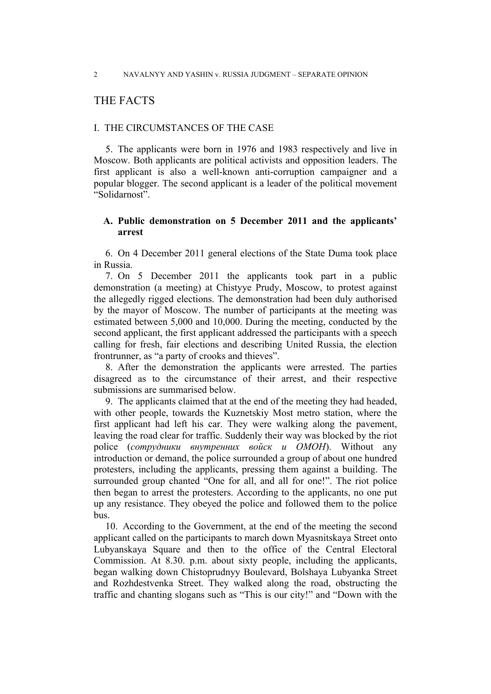# THE FACTS

## I. THE CIRCUMSTANCES OF THE CASE

5. The applicants were born in 1976 and 1983 respectively and live in Moscow. Both applicants are political activists and opposition leaders. The first applicant is also a well-known anti-corruption campaigner and a popular blogger. The second applicant is a leader of the political movement "Solidarnost".

# **A. Public demonstration on 5 December 2011 and the applicants' arrest**

6. On 4 December 2011 general elections of the State Duma took place in Russia.

7. On 5 December 2011 the applicants took part in a public demonstration (a meeting) at Chistyye Prudy, Moscow, to protest against the allegedly rigged elections. The demonstration had been duly authorised by the mayor of Moscow. The number of participants at the meeting was estimated between 5,000 and 10,000. During the meeting, conducted by the second applicant, the first applicant addressed the participants with a speech calling for fresh, fair elections and describing United Russia, the election frontrunner, as "a party of crooks and thieves".

8. After the demonstration the applicants were arrested. The parties disagreed as to the circumstance of their arrest, and their respective submissions are summarised below.

9. The applicants claimed that at the end of the meeting they had headed, with other people, towards the Kuznetskiy Most metro station, where the first applicant had left his car. They were walking along the pavement, leaving the road clear for traffic. Suddenly their way was blocked by the riot police (*сотрудники внутренних войск и OMOН*). Without any introduction or demand, the police surrounded a group of about one hundred protesters, including the applicants, pressing them against a building. The surrounded group chanted "One for all, and all for one!". The riot police then began to arrest the protesters. According to the applicants, no one put up any resistance. They obeyed the police and followed them to the police bus.

10. According to the Government, at the end of the meeting the second applicant called on the participants to march down Myasnitskaya Street onto Lubyanskaya Square and then to the office of the Central Electoral Commission. At 8.30. p.m. about sixty people, including the applicants, began walking down Chistoprudnyy Boulevard, Bolshaya Lubyanka Street and Rozhdestvenka Street. They walked along the road, obstructing the traffic and chanting slogans such as "This is our city!" and "Down with the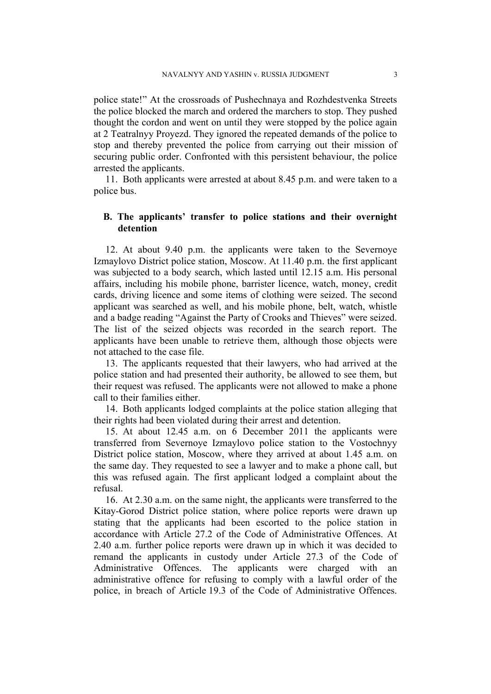police state!" At the crossroads of Pushechnaya and Rozhdestvenka Streets the police blocked the march and ordered the marchers to stop. They pushed thought the cordon and went on until they were stopped by the police again at 2 Teatralnyy Proyezd. They ignored the repeated demands of the police to stop and thereby prevented the police from carrying out their mission of securing public order. Confronted with this persistent behaviour, the police arrested the applicants.

11. Both applicants were arrested at about 8.45 p.m. and were taken to a police bus.

# **B. The applicants' transfer to police stations and their overnight detention**

12. At about 9.40 p.m. the applicants were taken to the Severnoye Izmaylovo District police station, Moscow. At 11.40 p.m. the first applicant was subjected to a body search, which lasted until 12.15 a.m. His personal affairs, including his mobile phone, barrister licence, watch, money, credit cards, driving licence and some items of clothing were seized. The second applicant was searched as well, and his mobile phone, belt, watch, whistle and a badge reading "Against the Party of Crooks and Thieves" were seized. The list of the seized objects was recorded in the search report. The applicants have been unable to retrieve them, although those objects were not attached to the case file.

13. The applicants requested that their lawyers, who had arrived at the police station and had presented their authority, be allowed to see them, but their request was refused. The applicants were not allowed to make a phone call to their families either.

14. Both applicants lodged complaints at the police station alleging that their rights had been violated during their arrest and detention.

15. At about 12.45 a.m. on 6 December 2011 the applicants were transferred from Severnoye Izmaylovo police station to the Vostochnyy District police station, Moscow, where they arrived at about 1.45 a.m. on the same day. They requested to see a lawyer and to make a phone call, but this was refused again. The first applicant lodged a complaint about the refusal.

16. At 2.30 a.m. on the same night, the applicants were transferred to the Kitay-Gorod District police station, where police reports were drawn up stating that the applicants had been escorted to the police station in accordance with Article 27.2 of the Code of Administrative Offences. At 2.40 a.m. further police reports were drawn up in which it was decided to remand the applicants in custody under Article 27.3 of the Code of Administrative Offences. The applicants were charged with an administrative offence for refusing to comply with a lawful order of the police, in breach of Article 19.3 of the Code of Administrative Offences.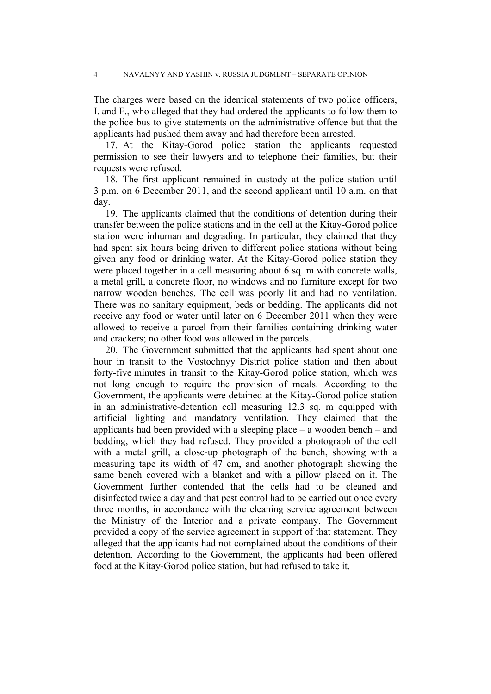The charges were based on the identical statements of two police officers, I. and F., who alleged that they had ordered the applicants to follow them to the police bus to give statements on the administrative offence but that the applicants had pushed them away and had therefore been arrested.

17. At the Kitay-Gorod police station the applicants requested permission to see their lawyers and to telephone their families, but their requests were refused.

18. The first applicant remained in custody at the police station until 3 p.m. on 6 December 2011, and the second applicant until 10 a.m. on that day.

19. The applicants claimed that the conditions of detention during their transfer between the police stations and in the cell at the Kitay-Gorod police station were inhuman and degrading. In particular, they claimed that they had spent six hours being driven to different police stations without being given any food or drinking water. At the Kitay-Gorod police station they were placed together in a cell measuring about 6 sq. m with concrete walls, a metal grill, a concrete floor, no windows and no furniture except for two narrow wooden benches. The cell was poorly lit and had no ventilation. There was no sanitary equipment, beds or bedding. The applicants did not receive any food or water until later on 6 December 2011 when they were allowed to receive a parcel from their families containing drinking water and crackers; no other food was allowed in the parcels.

20. The Government submitted that the applicants had spent about one hour in transit to the Vostochnyy District police station and then about forty-five minutes in transit to the Kitay-Gorod police station, which was not long enough to require the provision of meals. According to the Government, the applicants were detained at the Kitay-Gorod police station in an administrative-detention cell measuring 12.3 sq. m equipped with artificial lighting and mandatory ventilation. They claimed that the applicants had been provided with a sleeping place – a wooden bench – and bedding, which they had refused. They provided a photograph of the cell with a metal grill, a close-up photograph of the bench, showing with a measuring tape its width of 47 cm, and another photograph showing the same bench covered with a blanket and with a pillow placed on it. The Government further contended that the cells had to be cleaned and disinfected twice a day and that pest control had to be carried out once every three months, in accordance with the cleaning service agreement between the Ministry of the Interior and a private company. The Government provided a copy of the service agreement in support of that statement. They alleged that the applicants had not complained about the conditions of their detention. According to the Government, the applicants had been offered food at the Kitay-Gorod police station, but had refused to take it.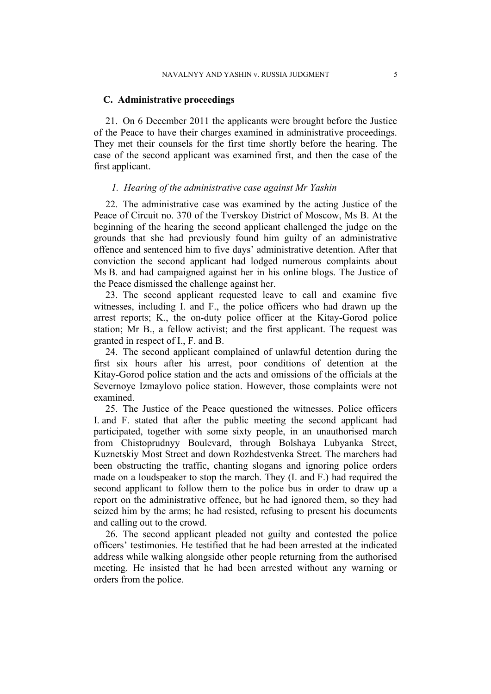## **C. Administrative proceedings**

21. On 6 December 2011 the applicants were brought before the Justice of the Peace to have their charges examined in administrative proceedings. They met their counsels for the first time shortly before the hearing. The case of the second applicant was examined first, and then the case of the first applicant.

#### *1. Hearing of the administrative case against Mr Yashin*

22. The administrative case was examined by the acting Justice of the Peace of Circuit no. 370 of the Tverskoy District of Moscow, Ms B. At the beginning of the hearing the second applicant challenged the judge on the grounds that she had previously found him guilty of an administrative offence and sentenced him to five days' administrative detention. After that conviction the second applicant had lodged numerous complaints about Ms B. and had campaigned against her in his online blogs. The Justice of the Peace dismissed the challenge against her.

23. The second applicant requested leave to call and examine five witnesses, including I. and F., the police officers who had drawn up the arrest reports; K., the on-duty police officer at the Kitay-Gorod police station; Mr B., a fellow activist; and the first applicant. The request was granted in respect of I., F. and B.

24. The second applicant complained of unlawful detention during the first six hours after his arrest, poor conditions of detention at the Kitay-Gorod police station and the acts and omissions of the officials at the Severnoye Izmaylovo police station. However, those complaints were not examined.

25. The Justice of the Peace questioned the witnesses. Police officers I. and F. stated that after the public meeting the second applicant had participated, together with some sixty people, in an unauthorised march from Chistoprudnyy Boulevard, through Bolshaya Lubyanka Street, Kuznetskiy Most Street and down Rozhdestvenka Street. The marchers had been obstructing the traffic, chanting slogans and ignoring police orders made on a loudspeaker to stop the march. They (I. and F.) had required the second applicant to follow them to the police bus in order to draw up a report on the administrative offence, but he had ignored them, so they had seized him by the arms; he had resisted, refusing to present his documents and calling out to the crowd.

26. The second applicant pleaded not guilty and contested the police officers' testimonies. He testified that he had been arrested at the indicated address while walking alongside other people returning from the authorised meeting. He insisted that he had been arrested without any warning or orders from the police.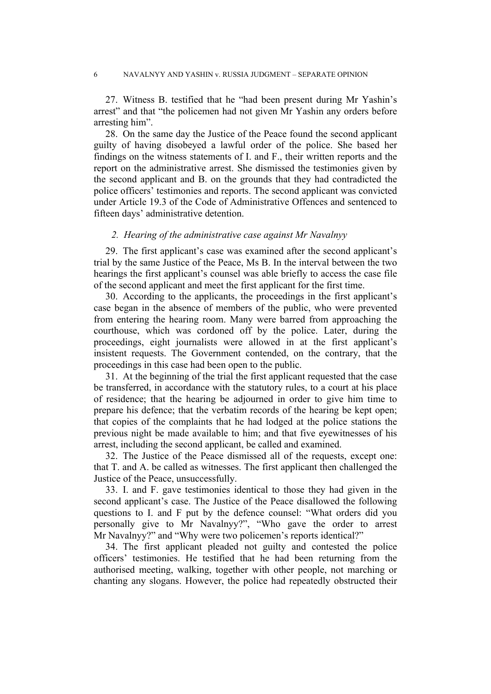27. Witness B. testified that he "had been present during Mr Yashin's arrest" and that "the policemen had not given Mr Yashin any orders before arresting him".

28. On the same day the Justice of the Peace found the second applicant guilty of having disobeyed a lawful order of the police. She based her findings on the witness statements of I. and F., their written reports and the report on the administrative arrest. She dismissed the testimonies given by the second applicant and B. on the grounds that they had contradicted the police officers' testimonies and reports. The second applicant was convicted under Article 19.3 of the Code of Administrative Offences and sentenced to fifteen days' administrative detention.

## *2. Hearing of the administrative case against Mr Navalnyy*

29. The first applicant's case was examined after the second applicant's trial by the same Justice of the Peace, Ms B. In the interval between the two hearings the first applicant's counsel was able briefly to access the case file of the second applicant and meet the first applicant for the first time.

30. According to the applicants, the proceedings in the first applicant's case began in the absence of members of the public, who were prevented from entering the hearing room. Many were barred from approaching the courthouse, which was cordoned off by the police. Later, during the proceedings, eight journalists were allowed in at the first applicant's insistent requests. The Government contended, on the contrary, that the proceedings in this case had been open to the public.

31. At the beginning of the trial the first applicant requested that the case be transferred, in accordance with the statutory rules, to a court at his place of residence; that the hearing be adjourned in order to give him time to prepare his defence; that the verbatim records of the hearing be kept open; that copies of the complaints that he had lodged at the police stations the previous night be made available to him; and that five eyewitnesses of his arrest, including the second applicant, be called and examined.

32. The Justice of the Peace dismissed all of the requests, except one: that T. and A. be called as witnesses. The first applicant then challenged the Justice of the Peace, unsuccessfully.

33. I. and F. gave testimonies identical to those they had given in the second applicant's case. The Justice of the Peace disallowed the following questions to I. and F put by the defence counsel: "What orders did you personally give to Mr Navalnyy?", "Who gave the order to arrest Mr Navalnyy?" and "Why were two policemen's reports identical?"

34. The first applicant pleaded not guilty and contested the police officers' testimonies. He testified that he had been returning from the authorised meeting, walking, together with other people, not marching or chanting any slogans. However, the police had repeatedly obstructed their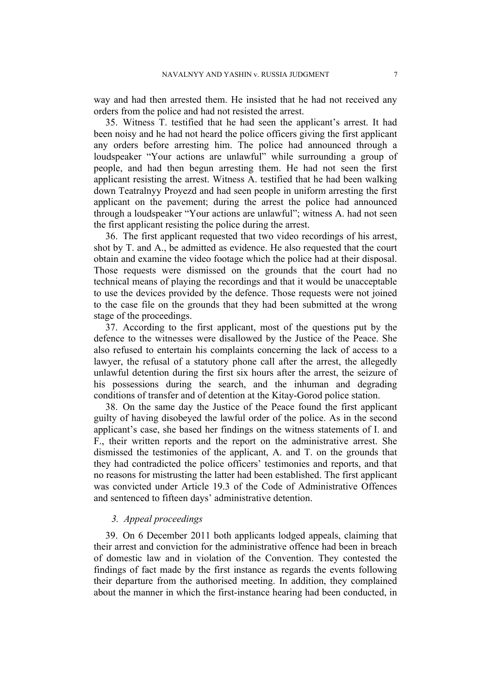way and had then arrested them. He insisted that he had not received any orders from the police and had not resisted the arrest.

35. Witness T. testified that he had seen the applicant's arrest. It had been noisy and he had not heard the police officers giving the first applicant any orders before arresting him. The police had announced through a loudspeaker "Your actions are unlawful" while surrounding a group of people, and had then begun arresting them. He had not seen the first applicant resisting the arrest. Witness A. testified that he had been walking down Teatralnyy Proyezd and had seen people in uniform arresting the first applicant on the pavement; during the arrest the police had announced through a loudspeaker "Your actions are unlawful"; witness A. had not seen the first applicant resisting the police during the arrest.

36. The first applicant requested that two video recordings of his arrest, shot by T. and A., be admitted as evidence. He also requested that the court obtain and examine the video footage which the police had at their disposal. Those requests were dismissed on the grounds that the court had no technical means of playing the recordings and that it would be unacceptable to use the devices provided by the defence. Those requests were not joined to the case file on the grounds that they had been submitted at the wrong stage of the proceedings.

37. According to the first applicant, most of the questions put by the defence to the witnesses were disallowed by the Justice of the Peace. She also refused to entertain his complaints concerning the lack of access to a lawyer, the refusal of a statutory phone call after the arrest, the allegedly unlawful detention during the first six hours after the arrest, the seizure of his possessions during the search, and the inhuman and degrading conditions of transfer and of detention at the Kitay-Gorod police station.

38. On the same day the Justice of the Peace found the first applicant guilty of having disobeyed the lawful order of the police. As in the second applicant's case, she based her findings on the witness statements of I. and F., their written reports and the report on the administrative arrest. She dismissed the testimonies of the applicant, A. and T. on the grounds that they had contradicted the police officers' testimonies and reports, and that no reasons for mistrusting the latter had been established. The first applicant was convicted under Article 19.3 of the Code of Administrative Offences and sentenced to fifteen days' administrative detention.

## *3. Appeal proceedings*

39. On 6 December 2011 both applicants lodged appeals, claiming that their arrest and conviction for the administrative offence had been in breach of domestic law and in violation of the Convention. They contested the findings of fact made by the first instance as regards the events following their departure from the authorised meeting. In addition, they complained about the manner in which the first-instance hearing had been conducted, in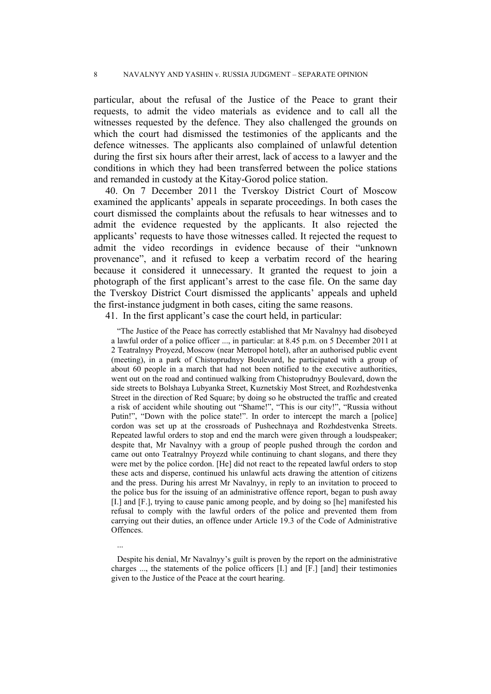particular, about the refusal of the Justice of the Peace to grant their requests, to admit the video materials as evidence and to call all the witnesses requested by the defence. They also challenged the grounds on which the court had dismissed the testimonies of the applicants and the defence witnesses. The applicants also complained of unlawful detention during the first six hours after their arrest, lack of access to a lawyer and the conditions in which they had been transferred between the police stations and remanded in custody at the Kitay-Gorod police station.

40. On 7 December 2011 the Tverskoy District Court of Moscow examined the applicants' appeals in separate proceedings. In both cases the court dismissed the complaints about the refusals to hear witnesses and to admit the evidence requested by the applicants. It also rejected the applicants' requests to have those witnesses called. It rejected the request to admit the video recordings in evidence because of their "unknown provenance", and it refused to keep a verbatim record of the hearing because it considered it unnecessary. It granted the request to join a photograph of the first applicant's arrest to the case file. On the same day the Tverskoy District Court dismissed the applicants' appeals and upheld the first-instance judgment in both cases, citing the same reasons.

41. In the first applicant's case the court held, in particular:

"The Justice of the Peace has correctly established that Mr Navalnyy had disobeyed a lawful order of a police officer ..., in particular: at 8.45 p.m. on 5 December 2011 at 2 Teatralnyy Proyezd, Moscow (near Metropol hotel), after an authorised public event (meeting), in a park of Chistoprudnyy Boulevard, he participated with a group of about 60 people in a march that had not been notified to the executive authorities, went out on the road and continued walking from Chistoprudnyy Boulevard, down the side streets to Bolshaya Lubyanka Street, Kuznetskiy Most Street, and Rozhdestvenka Street in the direction of Red Square; by doing so he obstructed the traffic and created a risk of accident while shouting out "Shame!", "This is our city!", "Russia without Putin!", "Down with the police state!". In order to intercept the march a [police] cordon was set up at the crossroads of Pushechnaya and Rozhdestvenka Streets. Repeated lawful orders to stop and end the march were given through a loudspeaker; despite that, Mr Navalnyy with a group of people pushed through the cordon and came out onto Teatralnyy Proyezd while continuing to chant slogans, and there they were met by the police cordon. [He] did not react to the repeated lawful orders to stop these acts and disperse, continued his unlawful acts drawing the attention of citizens and the press. During his arrest Mr Navalnyy, in reply to an invitation to proceed to the police bus for the issuing of an administrative offence report, began to push away [I.] and [F.], trying to cause panic among people, and by doing so [he] manifested his refusal to comply with the lawful orders of the police and prevented them from carrying out their duties, an offence under Article 19.3 of the Code of Administrative Offences.

...

Despite his denial, Mr Navalnyy's guilt is proven by the report on the administrative charges ..., the statements of the police officers [I.] and [F.] [and] their testimonies given to the Justice of the Peace at the court hearing.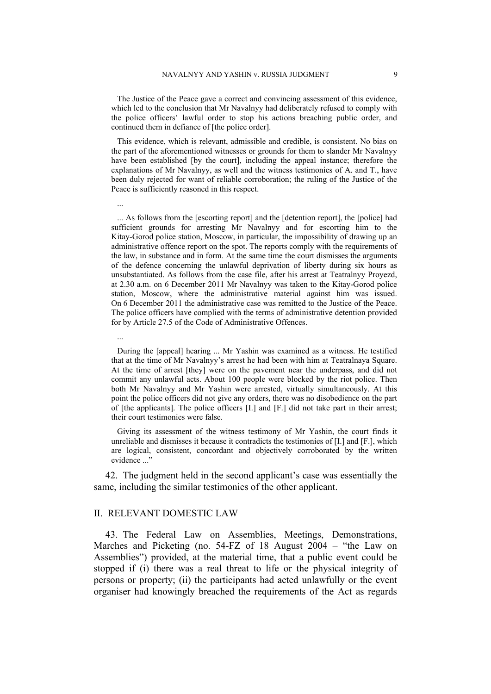The Justice of the Peace gave a correct and convincing assessment of this evidence, which led to the conclusion that Mr Navalnyy had deliberately refused to comply with the police officers' lawful order to stop his actions breaching public order, and continued them in defiance of [the police order].

This evidence, which is relevant, admissible and credible, is consistent. No bias on the part of the aforementioned witnesses or grounds for them to slander Mr Navalnyy have been established [by the court], including the appeal instance; therefore the explanations of Mr Navalnyy, as well and the witness testimonies of A. and T., have been duly rejected for want of reliable corroboration; the ruling of the Justice of the Peace is sufficiently reasoned in this respect.

... As follows from the [escorting report] and the [detention report], the [police] had sufficient grounds for arresting Mr Navalnyy and for escorting him to the Kitay-Gorod police station, Moscow, in particular, the impossibility of drawing up an administrative offence report on the spot. The reports comply with the requirements of the law, in substance and in form. At the same time the court dismisses the arguments of the defence concerning the unlawful deprivation of liberty during six hours as unsubstantiated. As follows from the case file, after his arrest at Teatralnyy Proyezd, at 2.30 a.m. on 6 December 2011 Mr Navalnyy was taken to the Kitay-Gorod police station, Moscow, where the administrative material against him was issued. On 6 December 2011 the administrative case was remitted to the Justice of the Peace. The police officers have complied with the terms of administrative detention provided for by Article 27.5 of the Code of Administrative Offences.

During the [appeal] hearing ... Mr Yashin was examined as a witness. He testified that at the time of Mr Navalnyy's arrest he had been with him at Teatralnaya Square. At the time of arrest [they] were on the pavement near the underpass, and did not commit any unlawful acts. About 100 people were blocked by the riot police. Then both Mr Navalnyy and Mr Yashin were arrested, virtually simultaneously. At this point the police officers did not give any orders, there was no disobedience on the part of [the applicants]. The police officers [I.] and [F.] did not take part in their arrest; their court testimonies were false.

Giving its assessment of the witness testimony of Mr Yashin, the court finds it unreliable and dismisses it because it contradicts the testimonies of [I.] and [F.], which are logical, consistent, concordant and objectively corroborated by the written evidence ..."

42. The judgment held in the second applicant's case was essentially the same, including the similar testimonies of the other applicant.

## II. RELEVANT DOMESTIC LAW

...

...

43. The Federal Law on Assemblies, Meetings, Demonstrations, Marches and Picketing (no. 54-FZ of 18 August 2004 – "the Law on Assemblies") provided, at the material time, that a public event could be stopped if (i) there was a real threat to life or the physical integrity of persons or property; (ii) the participants had acted unlawfully or the event organiser had knowingly breached the requirements of the Act as regards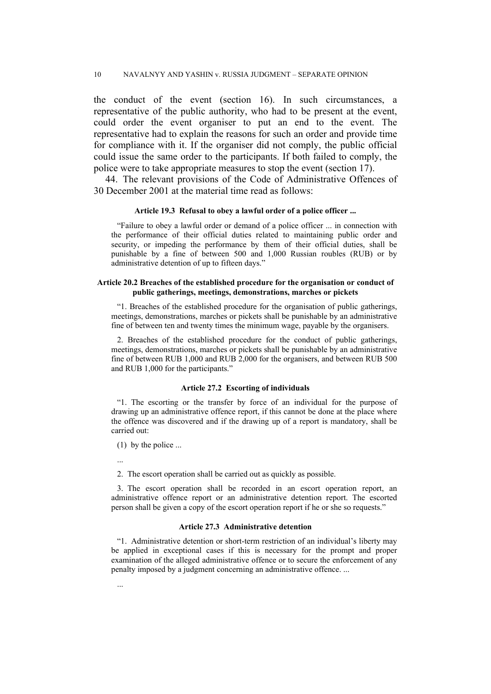the conduct of the event (section 16). In such circumstances, a representative of the public authority, who had to be present at the event, could order the event organiser to put an end to the event. The representative had to explain the reasons for such an order and provide time for compliance with it. If the organiser did not comply, the public official could issue the same order to the participants. If both failed to comply, the police were to take appropriate measures to stop the event (section 17).

44. The relevant provisions of the Code of Administrative Offences of 30 December 2001 at the material time read as follows:

#### **Article 19.3 Refusal to obey a lawful order of a police officer ...**

"Failure to obey a lawful order or demand of a police officer ... in connection with the performance of their official duties related to maintaining public order and security, or impeding the performance by them of their official duties, shall be punishable by a fine of between 500 and 1,000 Russian roubles (RUB) or by administrative detention of up to fifteen days."

#### **Article 20.2 Breaches of the established procedure for the organisation or conduct of public gatherings, meetings, demonstrations, marches or pickets**

"1. Breaches of the established procedure for the organisation of public gatherings, meetings, demonstrations, marches or pickets shall be punishable by an administrative fine of between ten and twenty times the minimum wage, payable by the organisers.

2. Breaches of the established procedure for the conduct of public gatherings, meetings, demonstrations, marches or pickets shall be punishable by an administrative fine of between RUB 1,000 and RUB 2,000 for the organisers, and between RUB 500 and RUB 1,000 for the participants."

#### **Article 27.2 Escorting of individuals**

"1. The escorting or the transfer by force of an individual for the purpose of drawing up an administrative offence report, if this cannot be done at the place where the offence was discovered and if the drawing up of a report is mandatory, shall be carried out:

(1) by the police ...

...

...

2. The escort operation shall be carried out as quickly as possible.

3. The escort operation shall be recorded in an escort operation report, an administrative offence report or an administrative detention report. The escorted person shall be given a copy of the escort operation report if he or she so requests."

#### **Article 27.3 Administrative detention**

"1. Administrative detention or short-term restriction of an individual's liberty may be applied in exceptional cases if this is necessary for the prompt and proper examination of the alleged administrative offence or to secure the enforcement of any penalty imposed by a judgment concerning an administrative offence. ...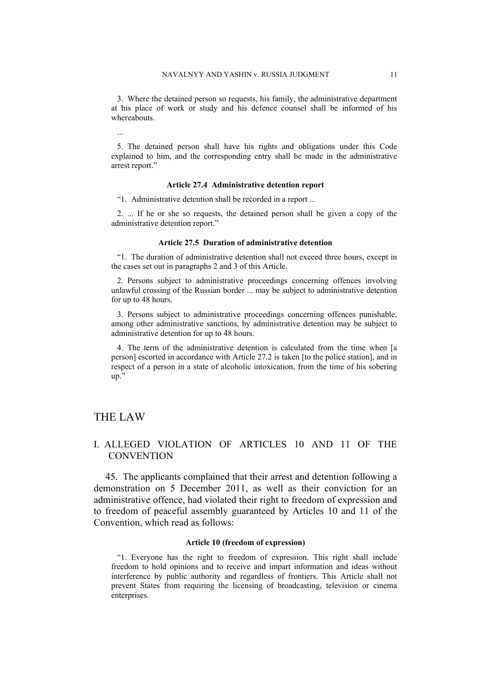3. Where the detained person so requests, his family, the administrative department at his place of work or study and his defence counsel shall be informed of his whereabouts.

5. The detained person shall have his rights and obligations under this Code explained to him, and the corresponding entry shall be made in the administrative arrest report."

#### **Article 27.4 Administrative detention report**

"1. Administrative detention shall be recorded in a report ...

2. ... If he or she so requests, the detained person shall be given a copy of the administrative detention report."

#### **Article 27.5 Duration of administrative detention**

"1. The duration of administrative detention shall not exceed three hours, except in the cases set out in paragraphs 2 and 3 of this Article.

2. Persons subject to administrative proceedings concerning offences involving unlawful crossing of the Russian border ... may be subject to administrative detention for up to 48 hours.

3. Persons subject to administrative proceedings concerning offences punishable, among other administrative sanctions, by administrative detention may be subject to administrative detention for up to 48 hours.

4. The term of the administrative detention is calculated from the time when [a person] escorted in accordance with Article 27.2 is taken [to the police station], and in respect of a person in a state of alcoholic intoxication, from the time of his sobering up."

# THE LAW

...

## I. ALLEGED VIOLATION OF ARTICLES 10 AND 11 OF THE **CONVENTION**

45. The applicants complained that their arrest and detention following a demonstration on 5 December 2011, as well as their conviction for an administrative offence, had violated their right to freedom of expression and to freedom of peaceful assembly guaranteed by Articles 10 and 11 of the Convention, which read as follows:

#### **Article 10 (freedom of expression)**

"1. Everyone has the right to freedom of expression. This right shall include freedom to hold opinions and to receive and impart information and ideas without interference by public authority and regardless of frontiers. This Article shall not prevent States from requiring the licensing of broadcasting, television or cinema enterprises.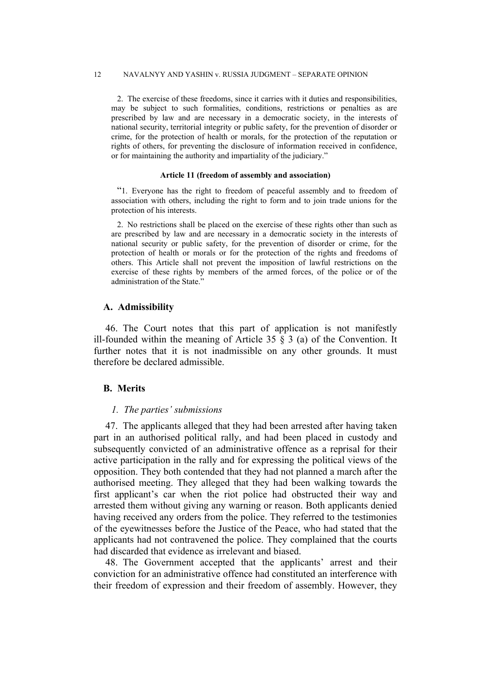2. The exercise of these freedoms, since it carries with it duties and responsibilities, may be subject to such formalities, conditions, restrictions or penalties as are prescribed by law and are necessary in a democratic society, in the interests of national security, territorial integrity or public safety, for the prevention of disorder or crime, for the protection of health or morals, for the protection of the reputation or rights of others, for preventing the disclosure of information received in confidence, or for maintaining the authority and impartiality of the judiciary."

#### **Article 11 (freedom of assembly and association)**

"1. Everyone has the right to freedom of peaceful assembly and to freedom of association with others, including the right to form and to join trade unions for the protection of his interests.

2. No restrictions shall be placed on the exercise of these rights other than such as are prescribed by law and are necessary in a democratic society in the interests of national security or public safety, for the prevention of disorder or crime, for the protection of health or morals or for the protection of the rights and freedoms of others. This Article shall not prevent the imposition of lawful restrictions on the exercise of these rights by members of the armed forces, of the police or of the administration of the State.'

#### **A. Admissibility**

46. The Court notes that this part of application is not manifestly ill-founded within the meaning of Article 35  $\S$  3 (a) of the Convention. It further notes that it is not inadmissible on any other grounds. It must therefore be declared admissible.

## **B. Merits**

### *1. The parties' submissions*

47. The applicants alleged that they had been arrested after having taken part in an authorised political rally, and had been placed in custody and subsequently convicted of an administrative offence as a reprisal for their active participation in the rally and for expressing the political views of the opposition. They both contended that they had not planned a march after the authorised meeting. They alleged that they had been walking towards the first applicant's car when the riot police had obstructed their way and arrested them without giving any warning or reason. Both applicants denied having received any orders from the police. They referred to the testimonies of the eyewitnesses before the Justice of the Peace, who had stated that the applicants had not contravened the police. They complained that the courts had discarded that evidence as irrelevant and biased.

48. The Government accepted that the applicants' arrest and their conviction for an administrative offence had constituted an interference with their freedom of expression and their freedom of assembly. However, they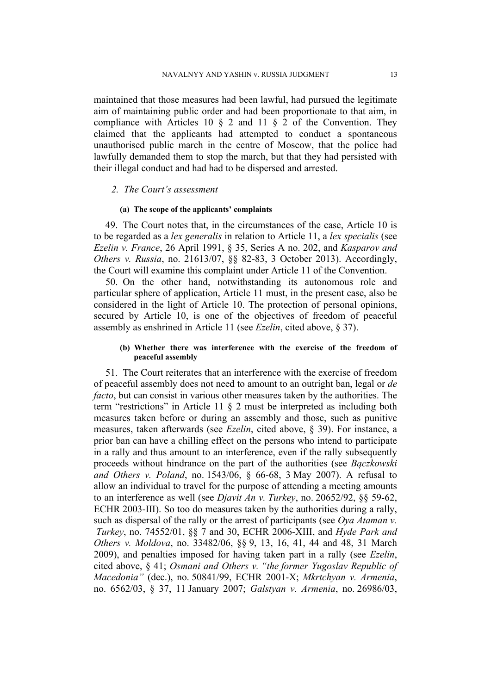maintained that those measures had been lawful, had pursued the legitimate aim of maintaining public order and had been proportionate to that aim, in compliance with Articles 10  $\S$  2 and 11  $\S$  2 of the Convention. They claimed that the applicants had attempted to conduct a spontaneous unauthorised public march in the centre of Moscow, that the police had lawfully demanded them to stop the march, but that they had persisted with their illegal conduct and had had to be dispersed and arrested.

#### *2. The Court's assessment*

#### **(a) The scope of the applicants' complaints**

49. The Court notes that, in the circumstances of the case, Article 10 is to be regarded as a *lex generalis* in relation to Article 11, a *lex specialis* (see *Ezelin v. France*, 26 April 1991, § 35, Series A no. 202, and *Kasparov and Others v. Russia*, no. 21613/07, §§ 82-83, 3 October 2013). Accordingly, the Court will examine this complaint under Article 11 of the Convention.

50. On the other hand, notwithstanding its autonomous role and particular sphere of application, Article 11 must, in the present case, also be considered in the light of Article 10. The protection of personal opinions, secured by Article 10, is one of the objectives of freedom of peaceful assembly as enshrined in Article 11 (see *Ezelin*, cited above, § 37).

## **(b) Whether there was interference with the exercise of the freedom of peaceful assembly**

51. The Court reiterates that an interference with the exercise of freedom of peaceful assembly does not need to amount to an outright ban, legal or *de facto*, but can consist in various other measures taken by the authorities. The term "restrictions" in Article 11 § 2 must be interpreted as including both measures taken before or during an assembly and those, such as punitive measures, taken afterwards (see *Ezelin*, cited above, § 39). For instance, a prior ban can have a chilling effect on the persons who intend to participate in a rally and thus amount to an interference, even if the rally subsequently proceeds without hindrance on the part of the authorities (see *Bączkowski and Others v. Poland*, no. 1543/06, § 66-68, 3 May 2007). A refusal to allow an individual to travel for the purpose of attending a meeting amounts to an interference as well (see *Djavit An v. Turkey*, no. 20652/92, §§ 59-62, ECHR 2003-III). So too do measures taken by the authorities during a rally, such as dispersal of the rally or the arrest of participants (see *Oya Ataman v. Turkey*, no. 74552/01, §§ 7 and 30, ECHR 2006-XIII, and *Hyde Park and Others v. Moldova*, no. 33482/06, §§ 9, 13, 16, 41, 44 and 48, 31 March 2009), and penalties imposed for having taken part in a rally (see *Ezelin*, cited above, § 41; *Osmani and Others v. "the former Yugoslav Republic of Macedonia"* (dec.), no. 50841/99, ECHR 2001-X; *Mkrtchyan v. Armenia*, no. 6562/03, § 37, 11 January 2007; *Galstyan v. Armenia*, no. 26986/03,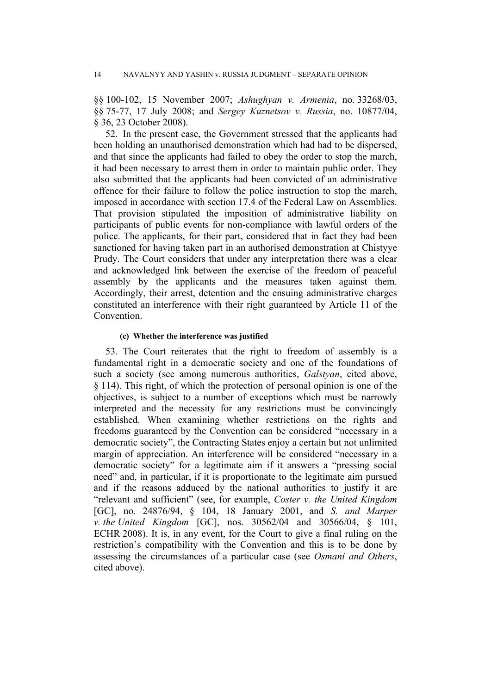§§ 100-102, 15 November 2007; *Ashughyan v. Armenia*, no. 33268/03, §§ 75-77, 17 July 2008; and *Sergey Kuznetsov v. Russia*, no. 10877/04, § 36, 23 October 2008).

52. In the present case, the Government stressed that the applicants had been holding an unauthorised demonstration which had had to be dispersed, and that since the applicants had failed to obey the order to stop the march, it had been necessary to arrest them in order to maintain public order. They also submitted that the applicants had been convicted of an administrative offence for their failure to follow the police instruction to stop the march, imposed in accordance with section 17.4 of the Federal Law on Assemblies. That provision stipulated the imposition of administrative liability on participants of public events for non-compliance with lawful orders of the police. The applicants, for their part, considered that in fact they had been sanctioned for having taken part in an authorised demonstration at Chistyye Prudy. The Court considers that under any interpretation there was a clear and acknowledged link between the exercise of the freedom of peaceful assembly by the applicants and the measures taken against them. Accordingly, their arrest, detention and the ensuing administrative charges constituted an interference with their right guaranteed by Article 11 of the **Convention** 

#### **(c) Whether the interference was justified**

53. The Court reiterates that the right to freedom of assembly is a fundamental right in a democratic society and one of the foundations of such a society (see among numerous authorities, *Galstyan*, cited above, § 114). This right, of which the protection of personal opinion is one of the objectives, is subject to a number of exceptions which must be narrowly interpreted and the necessity for any restrictions must be convincingly established. When examining whether restrictions on the rights and freedoms guaranteed by the Convention can be considered "necessary in a democratic society", the Contracting States enjoy a certain but not unlimited margin of appreciation. An interference will be considered "necessary in a democratic society" for a legitimate aim if it answers a "pressing social need" and, in particular, if it is proportionate to the legitimate aim pursued and if the reasons adduced by the national authorities to justify it are "relevant and sufficient" (see, for example, *Coster v. the United Kingdom* [GC], no. [24876/94,](http://hudoc.echr.coe.int/sites/eng/Pages/search.aspx#%7B) § 104, 18 January 2001, and *S. and Marper v. the United Kingdom* [GC], nos. [30562/04](http://hudoc.echr.coe.int/sites/eng/Pages/search.aspx#%7B) and [30566/04](http://hudoc.echr.coe.int/sites/eng/Pages/search.aspx#%7B), § 101, ECHR 2008). It is, in any event, for the Court to give a final ruling on the restriction's compatibility with the Convention and this is to be done by assessing the circumstances of a particular case (see *Osmani and Others*, cited above).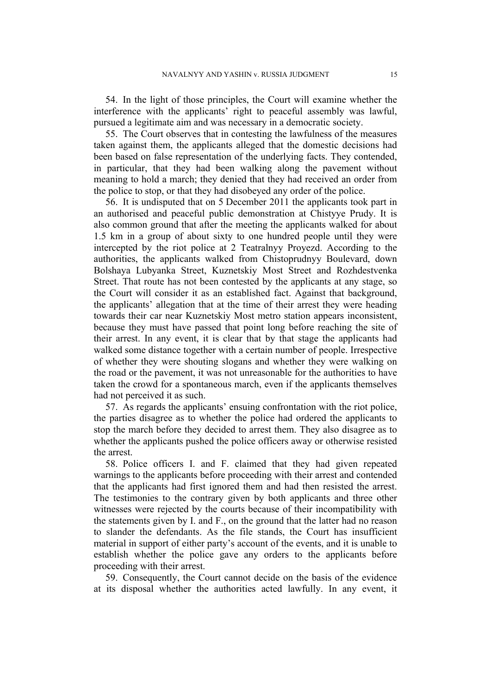54. In the light of those principles, the Court will examine whether the interference with the applicants' right to peaceful assembly was lawful, pursued a legitimate aim and was necessary in a democratic society.

55. The Court observes that in contesting the lawfulness of the measures taken against them, the applicants alleged that the domestic decisions had been based on false representation of the underlying facts. They contended, in particular, that they had been walking along the pavement without meaning to hold a march; they denied that they had received an order from the police to stop, or that they had disobeyed any order of the police.

56. It is undisputed that on 5 December 2011 the applicants took part in an authorised and peaceful public demonstration at Chistyye Prudy. It is also common ground that after the meeting the applicants walked for about 1.5 km in a group of about sixty to one hundred people until they were intercepted by the riot police at 2 Teatralnyy Proyezd. According to the authorities, the applicants walked from Chistoprudnyy Boulevard, down Bolshaya Lubyanka Street, Kuznetskiy Most Street and Rozhdestvenka Street. That route has not been contested by the applicants at any stage, so the Court will consider it as an established fact. Against that background, the applicants' allegation that at the time of their arrest they were heading towards their car near Kuznetskiy Most metro station appears inconsistent, because they must have passed that point long before reaching the site of their arrest. In any event, it is clear that by that stage the applicants had walked some distance together with a certain number of people. Irrespective of whether they were shouting slogans and whether they were walking on the road or the pavement, it was not unreasonable for the authorities to have taken the crowd for a spontaneous march, even if the applicants themselves had not perceived it as such.

57. As regards the applicants' ensuing confrontation with the riot police, the parties disagree as to whether the police had ordered the applicants to stop the march before they decided to arrest them. They also disagree as to whether the applicants pushed the police officers away or otherwise resisted the arrest.

58. Police officers I. and F. claimed that they had given repeated warnings to the applicants before proceeding with their arrest and contended that the applicants had first ignored them and had then resisted the arrest. The testimonies to the contrary given by both applicants and three other witnesses were rejected by the courts because of their incompatibility with the statements given by I. and F., on the ground that the latter had no reason to slander the defendants. As the file stands, the Court has insufficient material in support of either party's account of the events, and it is unable to establish whether the police gave any orders to the applicants before proceeding with their arrest.

59. Consequently, the Court cannot decide on the basis of the evidence at its disposal whether the authorities acted lawfully. In any event, it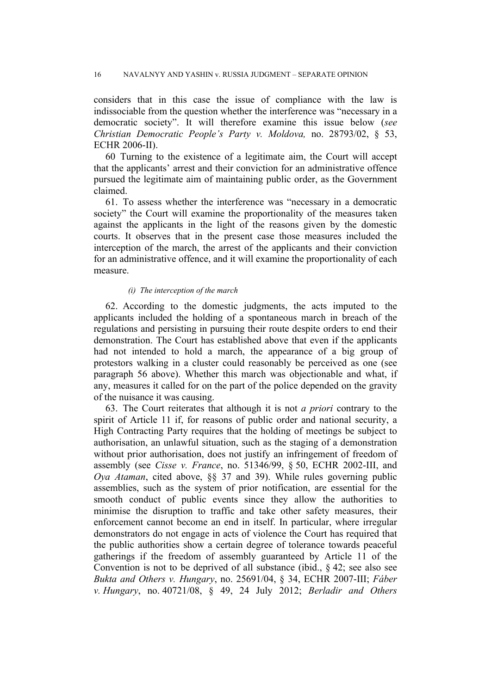considers that in this case the issue of compliance with the law is indissociable from the question whether the interference was "necessary in a democratic society". It will therefore examine this issue below (*see Christian Democratic People's Party v. Moldova,* no. 28793/02, § 53, ECHR 2006-II).

60 Turning to the existence of a legitimate aim, the Court will accept that the applicants' arrest and their conviction for an administrative offence pursued the legitimate aim of maintaining public order, as the Government claimed.

61. To assess whether the interference was "necessary in a democratic society" the Court will examine the proportionality of the measures taken against the applicants in the light of the reasons given by the domestic courts. It observes that in the present case those measures included the interception of the march, the arrest of the applicants and their conviction for an administrative offence, and it will examine the proportionality of each measure.

#### *(i) The interception of the march*

62. According to the domestic judgments, the acts imputed to the applicants included the holding of a spontaneous march in breach of the regulations and persisting in pursuing their route despite orders to end their demonstration. The Court has established above that even if the applicants had not intended to hold a march, the appearance of a big group of protestors walking in a cluster could reasonably be perceived as one (see paragraph 56 above). Whether this march was objectionable and what, if any, measures it called for on the part of the police depended on the gravity of the nuisance it was causing.

63. The Court reiterates that although it is not *a priori* contrary to the spirit of Article 11 if, for reasons of public order and national security, a High Contracting Party requires that the holding of meetings be subject to authorisation, an unlawful situation, such as the staging of a demonstration without prior authorisation, does not justify an infringement of freedom of assembly (see *Cisse v. France*, no. 51346/99, § 50, ECHR 2002-III, and *Oya Ataman*, cited above, §§ 37 and 39). While rules governing public assemblies, such as the system of prior notification, are essential for the smooth conduct of public events since they allow the authorities to minimise the disruption to traffic and take other safety measures, their enforcement cannot become an end in itself. In particular, where irregular demonstrators do not engage in acts of violence the Court has required that the public authorities show a certain degree of tolerance towards peaceful gatherings if the freedom of assembly guaranteed by Article 11 of the Convention is not to be deprived of all substance (ibid., § 42; see also see *Bukta and Others v. Hungary*, no. [25691/04,](http://hudoc.echr.coe.int/sites/eng/Pages/search.aspx#%7B) § 34, ECHR 2007-III; *Fáber v. Hungary*, no. [40721/08](http://hudoc.echr.coe.int/sites/eng/Pages/search.aspx#%7B), § 49, 24 July 2012; *Berladir and Others*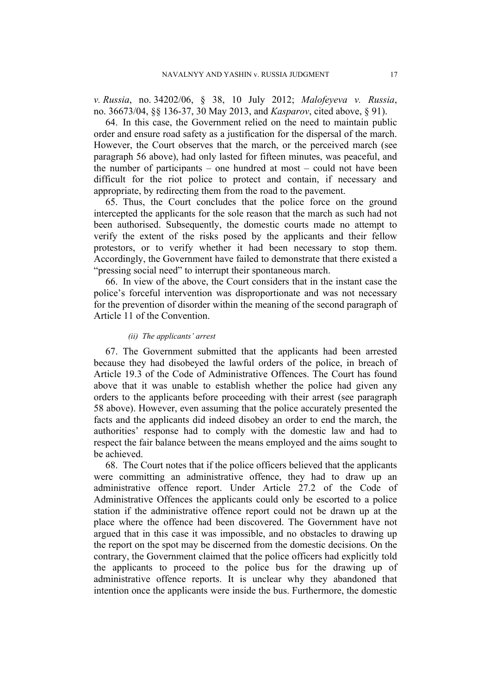*v. Russia*, no. 34202/06, § 38, 10 July 2012; *Malofeyeva v. Russia*, no. 36673/04, §§ 136-37, 30 May 2013, and *Kasparov*, cited above, § 91).

64. In this case, the Government relied on the need to maintain public order and ensure road safety as a justification for the dispersal of the march. However, the Court observes that the march, or the perceived march (see paragraph 56 above), had only lasted for fifteen minutes, was peaceful, and the number of participants – one hundred at most – could not have been difficult for the riot police to protect and contain, if necessary and appropriate, by redirecting them from the road to the pavement.

65. Thus, the Court concludes that the police force on the ground intercepted the applicants for the sole reason that the march as such had not been authorised. Subsequently, the domestic courts made no attempt to verify the extent of the risks posed by the applicants and their fellow protestors, or to verify whether it had been necessary to stop them. Accordingly, the Government have failed to demonstrate that there existed a "pressing social need" to interrupt their spontaneous march.

66. In view of the above, the Court considers that in the instant case the police's forceful intervention was disproportionate and was not necessary for the prevention of disorder within the meaning of the second paragraph of Article 11 of the Convention.

### *(ii) The applicants' arrest*

67. The Government submitted that the applicants had been arrested because they had disobeyed the lawful orders of the police, in breach of Article 19.3 of the Code of Administrative Offences. The Court has found above that it was unable to establish whether the police had given any orders to the applicants before proceeding with their arrest (see paragraph 58 above). However, even assuming that the police accurately presented the facts and the applicants did indeed disobey an order to end the march, the authorities' response had to comply with the domestic law and had to respect the fair balance between the means employed and the aims sought to be achieved.

68. The Court notes that if the police officers believed that the applicants were committing an administrative offence, they had to draw up an administrative offence report. Under Article 27.2 of the Code of Administrative Offences the applicants could only be escorted to a police station if the administrative offence report could not be drawn up at the place where the offence had been discovered. The Government have not argued that in this case it was impossible, and no obstacles to drawing up the report on the spot may be discerned from the domestic decisions. On the contrary, the Government claimed that the police officers had explicitly told the applicants to proceed to the police bus for the drawing up of administrative offence reports. It is unclear why they abandoned that intention once the applicants were inside the bus. Furthermore, the domestic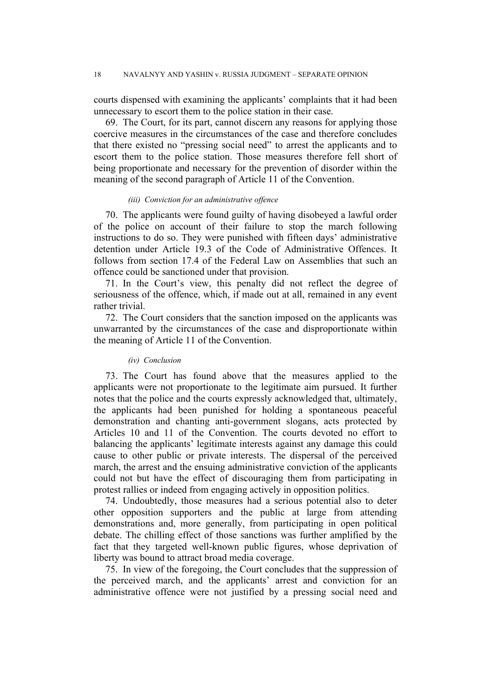courts dispensed with examining the applicants' complaints that it had been unnecessary to escort them to the police station in their case.

69. The Court, for its part, cannot discern any reasons for applying those coercive measures in the circumstances of the case and therefore concludes that there existed no "pressing social need" to arrest the applicants and to escort them to the police station. Those measures therefore fell short of being proportionate and necessary for the prevention of disorder within the meaning of the second paragraph of Article 11 of the Convention.

#### *(iii) Conviction for an administrative offence*

70. The applicants were found guilty of having disobeyed a lawful order of the police on account of their failure to stop the march following instructions to do so. They were punished with fifteen days' administrative detention under Article 19.3 of the Code of Administrative Offences. It follows from section 17.4 of the Federal Law on Assemblies that such an offence could be sanctioned under that provision.

71. In the Court's view, this penalty did not reflect the degree of seriousness of the offence, which, if made out at all, remained in any event rather trivial.

72. The Court considers that the sanction imposed on the applicants was unwarranted by the circumstances of the case and disproportionate within the meaning of Article 11 of the Convention.

#### *(iv) Conclusion*

73. The Court has found above that the measures applied to the applicants were not proportionate to the legitimate aim pursued. It further notes that the police and the courts expressly acknowledged that, ultimately, the applicants had been punished for holding a spontaneous peaceful demonstration and chanting anti-government slogans, acts protected by Articles 10 and 11 of the Convention. The courts devoted no effort to balancing the applicants' legitimate interests against any damage this could cause to other public or private interests. The dispersal of the perceived march, the arrest and the ensuing administrative conviction of the applicants could not but have the effect of discouraging them from participating in protest rallies or indeed from engaging actively in opposition politics.

74. Undoubtedly, those measures had a serious potential also to deter other opposition supporters and the public at large from attending demonstrations and, more generally, from participating in open political debate. The chilling effect of those sanctions was further amplified by the fact that they targeted well-known public figures, whose deprivation of liberty was bound to attract broad media coverage.

75. In view of the foregoing, the Court concludes that the suppression of the perceived march, and the applicants' arrest and conviction for an administrative offence were not justified by a pressing social need and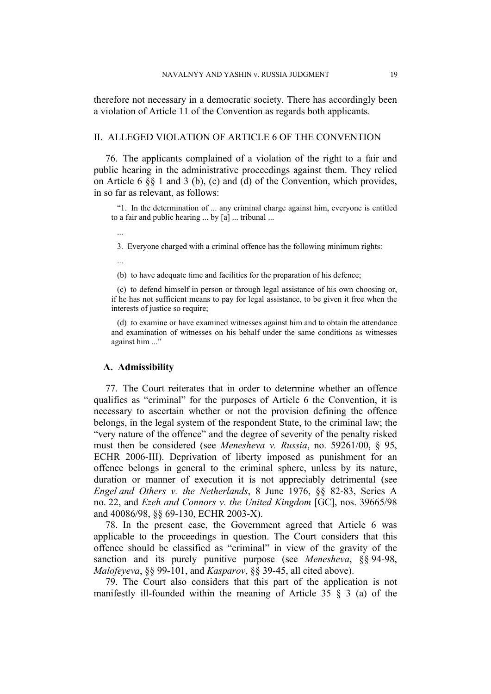therefore not necessary in a democratic society. There has accordingly been a violation of Article 11 of the Convention as regards both applicants.

## II. ALLEGED VIOLATION OF ARTICLE 6 OF THE CONVENTION

76. The applicants complained of a violation of the right to a fair and public hearing in the administrative proceedings against them. They relied on Article 6 §§ 1 and 3 (b), (c) and (d) of the Convention, which provides, in so far as relevant, as follows:

"1. In the determination of ... any criminal charge against him, everyone is entitled to a fair and public hearing ... by [a] ... tribunal ...

...

3. Everyone charged with a criminal offence has the following minimum rights:

...

(b) to have adequate time and facilities for the preparation of his defence;

(c) to defend himself in person or through legal assistance of his own choosing or, if he has not sufficient means to pay for legal assistance, to be given it free when the interests of justice so require;

(d) to examine or have examined witnesses against him and to obtain the attendance and examination of witnesses on his behalf under the same conditions as witnesses against him ..."

#### **A. Admissibility**

77. The Court reiterates that in order to determine whether an offence qualifies as "criminal" for the purposes of Article 6 the Convention, it is necessary to ascertain whether or not the provision defining the offence belongs, in the legal system of the respondent State, to the criminal law; the "very nature of the offence" and the degree of severity of the penalty risked must then be considered (see *Menesheva v. Russia*, no. 59261/00, § 95, ECHR 2006-III). Deprivation of liberty imposed as punishment for an offence belongs in general to the criminal sphere, unless by its nature, duration or manner of execution it is not appreciably detrimental (see *Engel and Others v. the Netherlands*, 8 June 1976, §§ 82-83, Series A no. 22, and *Ezeh and Connors v. the United Kingdom* [GC], nos. [39665/98](http://hudoc.echr.coe.int/sites/eng/Pages/search.aspx#%7B) and [40086/98](http://hudoc.echr.coe.int/sites/eng/Pages/search.aspx#%7B), §§ 69-130, ECHR 2003-X).

78. In the present case, the Government agreed that Article 6 was applicable to the proceedings in question. The Court considers that this offence should be classified as "criminal" in view of the gravity of the sanction and its purely punitive purpose (see *Menesheva*, §§ 94-98, *Malofeyeva*, §§ 99-101, and *Kasparov*, §§ 39-45, all cited above).

79. The Court also considers that this part of the application is not manifestly ill-founded within the meaning of Article 35 § 3 (a) of the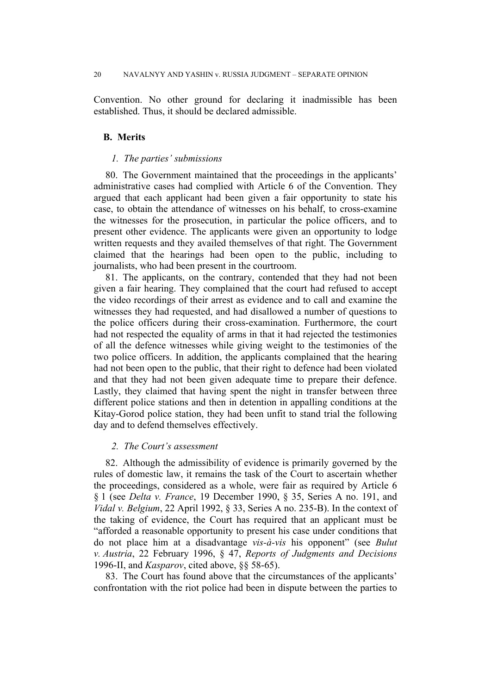Convention. No other ground for declaring it inadmissible has been established. Thus, it should be declared admissible.

## **B. Merits**

#### *1. The parties' submissions*

80. The Government maintained that the proceedings in the applicants' administrative cases had complied with Article 6 of the Convention. They argued that each applicant had been given a fair opportunity to state his case, to obtain the attendance of witnesses on his behalf, to cross-examine the witnesses for the prosecution, in particular the police officers, and to present other evidence. The applicants were given an opportunity to lodge written requests and they availed themselves of that right. The Government claimed that the hearings had been open to the public, including to journalists, who had been present in the courtroom.

81. The applicants, on the contrary, contended that they had not been given a fair hearing. They complained that the court had refused to accept the video recordings of their arrest as evidence and to call and examine the witnesses they had requested, and had disallowed a number of questions to the police officers during their cross-examination. Furthermore, the court had not respected the equality of arms in that it had rejected the testimonies of all the defence witnesses while giving weight to the testimonies of the two police officers. In addition, the applicants complained that the hearing had not been open to the public, that their right to defence had been violated and that they had not been given adequate time to prepare their defence. Lastly, they claimed that having spent the night in transfer between three different police stations and then in detention in appalling conditions at the Kitay-Gorod police station, they had been unfit to stand trial the following day and to defend themselves effectively.

## *2. The Court's assessment*

82. Although the admissibility of evidence is primarily governed by the rules of domestic law, it remains the task of the Court to ascertain whether the proceedings, considered as a whole, were fair as required by Article 6 § 1 (see *Delta v. France*, 19 December 1990, § 35, Series A no. 191, and *Vidal v. Belgium*, 22 April 1992, § 33, Series A no. 235-B). In the context of the taking of evidence, the Court has required that an applicant must be "afforded a reasonable opportunity to present his case under conditions that do not place him at a disadvantage *vis-à-vis* his opponent" (see *Bulut v. Austria*, 22 February 1996, § 47, *Reports of Judgments and Decisions* 1996-II, and *Kasparov*, cited above, §§ 58-65).

83. The Court has found above that the circumstances of the applicants' confrontation with the riot police had been in dispute between the parties to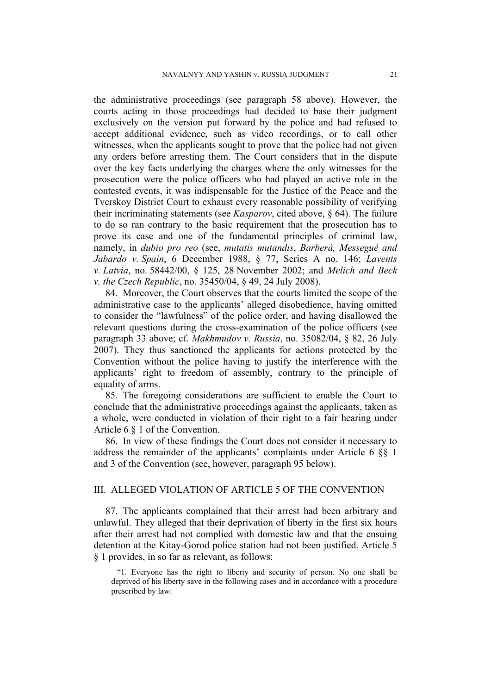the administrative proceedings (see paragraph 58 above). However, the courts acting in those proceedings had decided to base their judgment exclusively on the version put forward by the police and had refused to accept additional evidence, such as video recordings, or to call other witnesses, when the applicants sought to prove that the police had not given any orders before arresting them. The Court considers that in the dispute over the key facts underlying the charges where the only witnesses for the prosecution were the police officers who had played an active role in the contested events, it was indispensable for the Justice of the Peace and the Tverskoy District Court to exhaust every reasonable possibility of verifying their incriminating statements (see *Kasparov*, cited above, § 64). The failure to do so ran contrary to the basic requirement that the prosecution has to prove its case and one of the fundamental principles of criminal law, namely, in *dubio pro reo* (see, *mutatis mutandis*, *Barberà, Messegué and Jabardo v. Spain*, 6 December 1988, § 77, Series A no. 146; *Lavents v. Latvia*, no. [58442/00,](http://hudoc.echr.coe.int/sites/eng/Pages/search.aspx#%7B) § 125, 28 November 2002; and *Melich and Beck v. the Czech Republic*, no. [35450/04,](http://hudoc.echr.coe.int/sites/eng/Pages/search.aspx#%7B) § 49, 24 July 2008).

84. Moreover, the Court observes that the courts limited the scope of the administrative case to the applicants' alleged disobedience, having omitted to consider the "lawfulness" of the police order, and having disallowed the relevant questions during the cross-examination of the police officers (see paragraph 33 above; cf. *Makhmudov v. Russia*, no. 35082/04, § 82, 26 July 2007). They thus sanctioned the applicants for actions protected by the Convention without the police having to justify the interference with the applicants' right to freedom of assembly, contrary to the principle of equality of arms.

85. The foregoing considerations are sufficient to enable the Court to conclude that the administrative proceedings against the applicants, taken as a whole, were conducted in violation of their right to a fair hearing under Article 6 § 1 of the Convention.

86. In view of these findings the Court does not consider it necessary to address the remainder of the applicants' complaints under Article 6 §§ 1 and 3 of the Convention (see, however, paragraph 95 below).

# III. ALLEGED VIOLATION OF ARTICLE 5 OF THE CONVENTION

87. The applicants complained that their arrest had been arbitrary and unlawful. They alleged that their deprivation of liberty in the first six hours after their arrest had not complied with domestic law and that the ensuing detention at the Kitay-Gorod police station had not been justified. Article 5 § 1 provides, in so far as relevant, as follows:

"1. Everyone has the right to liberty and security of person. No one shall be deprived of his liberty save in the following cases and in accordance with a procedure prescribed by law: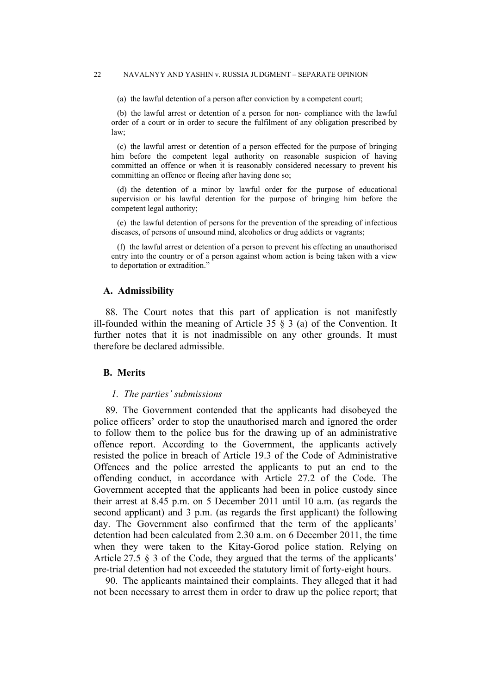#### 22 NAVALNYY AND YASHIN v. RUSSIA JUDGMENT – SEPARATE OPINION

(a) the lawful detention of a person after conviction by a competent court;

(b) the lawful arrest or detention of a person for non- compliance with the lawful order of a court or in order to secure the fulfilment of any obligation prescribed by law;

(c) the lawful arrest or detention of a person effected for the purpose of bringing him before the competent legal authority on reasonable suspicion of having committed an offence or when it is reasonably considered necessary to prevent his committing an offence or fleeing after having done so;

(d) the detention of a minor by lawful order for the purpose of educational supervision or his lawful detention for the purpose of bringing him before the competent legal authority;

(e) the lawful detention of persons for the prevention of the spreading of infectious diseases, of persons of unsound mind, alcoholics or drug addicts or vagrants;

(f) the lawful arrest or detention of a person to prevent his effecting an unauthorised entry into the country or of a person against whom action is being taken with a view to deportation or extradition."

#### **A. Admissibility**

88. The Court notes that this part of application is not manifestly ill-founded within the meaning of Article 35  $\S$  3 (a) of the Convention. It further notes that it is not inadmissible on any other grounds. It must therefore be declared admissible.

#### **B. Merits**

## *1. The parties' submissions*

89. The Government contended that the applicants had disobeyed the police officers' order to stop the unauthorised march and ignored the order to follow them to the police bus for the drawing up of an administrative offence report. According to the Government, the applicants actively resisted the police in breach of Article 19.3 of the Code of Administrative Offences and the police arrested the applicants to put an end to the offending conduct, in accordance with Article 27.2 of the Code. The Government accepted that the applicants had been in police custody since their arrest at 8.45 p.m. on 5 December 2011 until 10 a.m. (as regards the second applicant) and 3 p.m. (as regards the first applicant) the following day. The Government also confirmed that the term of the applicants' detention had been calculated from 2.30 a.m. on 6 December 2011, the time when they were taken to the Kitay-Gorod police station. Relying on Article 27.5 § 3 of the Code, they argued that the terms of the applicants' pre-trial detention had not exceeded the statutory limit of forty-eight hours.

90. The applicants maintained their complaints. They alleged that it had not been necessary to arrest them in order to draw up the police report; that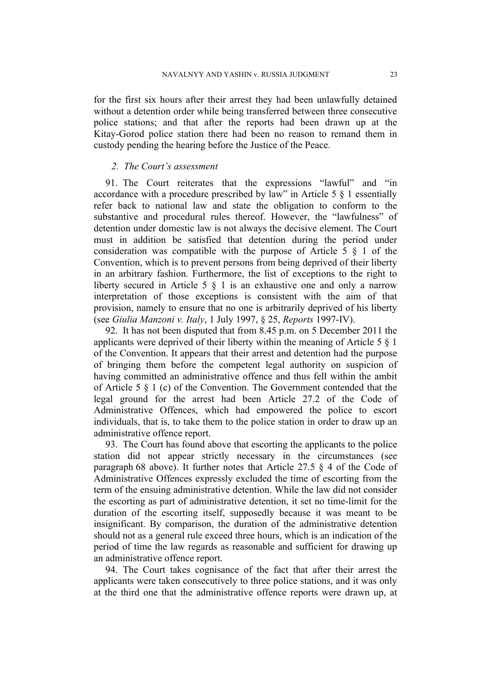for the first six hours after their arrest they had been unlawfully detained without a detention order while being transferred between three consecutive police stations; and that after the reports had been drawn up at the Kitay-Gorod police station there had been no reason to remand them in custody pending the hearing before the Justice of the Peace.

## *2. The Court's assessment*

91. The Court reiterates that the expressions "lawful" and "in accordance with a procedure prescribed by law" in Article 5 § 1 essentially refer back to national law and state the obligation to conform to the substantive and procedural rules thereof. However, the "lawfulness" of detention under domestic law is not always the decisive element. The Court must in addition be satisfied that detention during the period under consideration was compatible with the purpose of Article 5 § 1 of the Convention, which is to prevent persons from being deprived of their liberty in an arbitrary fashion. Furthermore, the list of exceptions to the right to liberty secured in Article 5 § 1 is an exhaustive one and only a narrow interpretation of those exceptions is consistent with the aim of that provision, namely to ensure that no one is arbitrarily deprived of his liberty (see *Giulia Manzoni v. Italy*, 1 July 1997, § 25, *Reports* 1997-IV).

92. It has not been disputed that from 8.45 p.m. on 5 December 2011 the applicants were deprived of their liberty within the meaning of Article 5 § 1 of the Convention. It appears that their arrest and detention had the purpose of bringing them before the competent legal authority on suspicion of having committed an administrative offence and thus fell within the ambit of Article 5 § 1 (c) of the Convention. The Government contended that the legal ground for the arrest had been Article 27.2 of the Code of Administrative Offences, which had empowered the police to escort individuals, that is, to take them to the police station in order to draw up an administrative offence report.

93. The Court has found above that escorting the applicants to the police station did not appear strictly necessary in the circumstances (see paragraph 68 above). It further notes that Article 27.5 § 4 of the Code of Administrative Offences expressly excluded the time of escorting from the term of the ensuing administrative detention. While the law did not consider the escorting as part of administrative detention, it set no time-limit for the duration of the escorting itself, supposedly because it was meant to be insignificant. By comparison, the duration of the administrative detention should not as a general rule exceed three hours, which is an indication of the period of time the law regards as reasonable and sufficient for drawing up an administrative offence report.

94. The Court takes cognisance of the fact that after their arrest the applicants were taken consecutively to three police stations, and it was only at the third one that the administrative offence reports were drawn up, at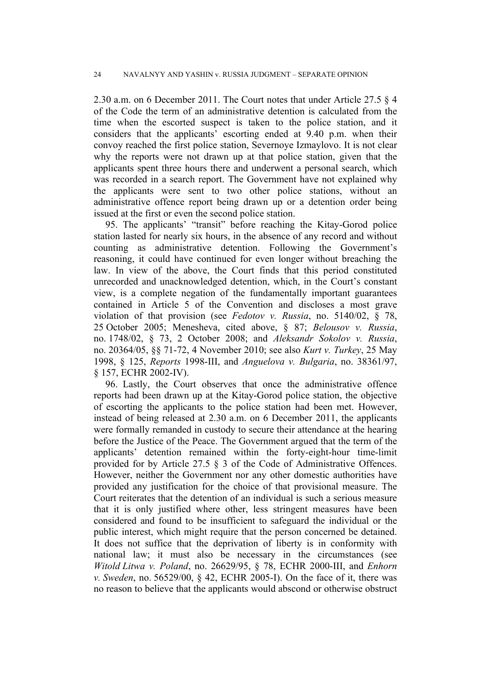2.30 a.m. on 6 December 2011. The Court notes that under Article 27.5 § 4 of the Code the term of an administrative detention is calculated from the time when the escorted suspect is taken to the police station, and it considers that the applicants' escorting ended at 9.40 p.m. when their convoy reached the first police station, Severnoye Izmaylovo. It is not clear why the reports were not drawn up at that police station, given that the applicants spent three hours there and underwent a personal search, which was recorded in a search report. The Government have not explained why the applicants were sent to two other police stations, without an administrative offence report being drawn up or a detention order being issued at the first or even the second police station.

95. The applicants' "transit" before reaching the Kitay-Gorod police station lasted for nearly six hours, in the absence of any record and without counting as administrative detention. Following the Government's reasoning, it could have continued for even longer without breaching the law. In view of the above, the Court finds that this period constituted unrecorded and unacknowledged detention, which, in the Court's constant view, is a complete negation of the fundamentally important guarantees contained in Article 5 of the Convention and discloses a most grave violation of that provision (see *Fedotov v. Russia*, no. [5140/02,](http://hudoc.echr.coe.int/sites/eng/Pages/search.aspx#%7B) § 78, 25 October 2005; Menesheva, cited above, § 87; *Belousov v. Russia*, no. 1748/02, § 73, 2 October 2008; and *Aleksandr Sokolov v. Russia*, no. 20364/05, §§ 71-72, 4 November 2010; see also *Kurt v. Turkey*, 25 May 1998, § 125, *Reports* 1998-III, and *Anguelova v. Bulgaria*, no. 38361/97, § 157, ECHR 2002-IV).

96. Lastly, the Court observes that once the administrative offence reports had been drawn up at the Kitay-Gorod police station, the objective of escorting the applicants to the police station had been met. However, instead of being released at 2.30 a.m. on 6 December 2011, the applicants were formally remanded in custody to secure their attendance at the hearing before the Justice of the Peace. The Government argued that the term of the applicants' detention remained within the forty-eight-hour time-limit provided for by Article 27.5 § 3 of the Code of Administrative Offences. However, neither the Government nor any other domestic authorities have provided any justification for the choice of that provisional measure. The Court reiterates that the detention of an individual is such a serious measure that it is only justified where other, less stringent measures have been considered and found to be insufficient to safeguard the individual or the public interest, which might require that the person concerned be detained. It does not suffice that the deprivation of liberty is in conformity with national law; it must also be necessary in the circumstances (see *Witold Litwa v. Poland*, no. 26629/95, § 78, ECHR 2000-III, and *Enhorn v. Sweden*, no. 56529/00, § 42, ECHR 2005-I). On the face of it, there was no reason to believe that the applicants would abscond or otherwise obstruct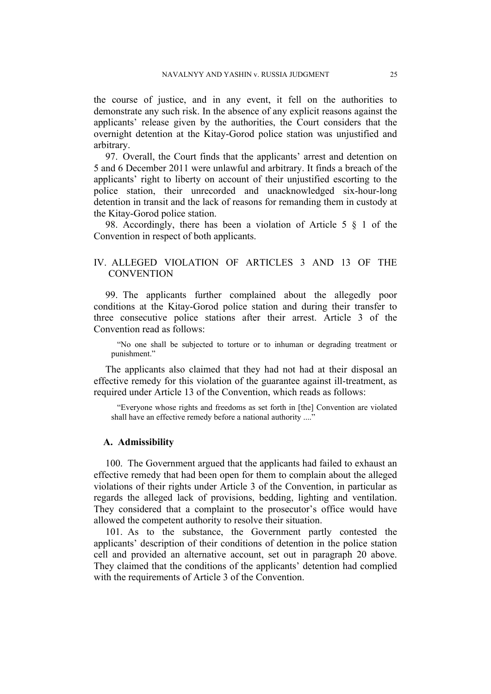the course of justice, and in any event, it fell on the authorities to demonstrate any such risk. In the absence of any explicit reasons against the applicants' release given by the authorities, the Court considers that the overnight detention at the Kitay-Gorod police station was unjustified and arbitrary.

97. Overall, the Court finds that the applicants' arrest and detention on 5 and 6 December 2011 were unlawful and arbitrary. It finds a breach of the applicants' right to liberty on account of their unjustified escorting to the police station, their unrecorded and unacknowledged six-hour-long detention in transit and the lack of reasons for remanding them in custody at the Kitay-Gorod police station.

98. Accordingly, there has been a violation of Article 5 § 1 of the Convention in respect of both applicants.

# IV. ALLEGED VIOLATION OF ARTICLES 3 AND 13 OF THE **CONVENTION**

99. The applicants further complained about the allegedly poor conditions at the Kitay-Gorod police station and during their transfer to three consecutive police stations after their arrest. Article 3 of the Convention read as follows:

"No one shall be subjected to torture or to inhuman or degrading treatment or punishment."

The applicants also claimed that they had not had at their disposal an effective remedy for this violation of the guarantee against ill-treatment, as required under Article 13 of the Convention, which reads as follows:

"Everyone whose rights and freedoms as set forth in [the] Convention are violated shall have an effective remedy before a national authority ...."

## **A. Admissibility**

100. The Government argued that the applicants had failed to exhaust an effective remedy that had been open for them to complain about the alleged violations of their rights under Article 3 of the Convention, in particular as regards the alleged lack of provisions, bedding, lighting and ventilation. They considered that a complaint to the prosecutor's office would have allowed the competent authority to resolve their situation.

101. As to the substance, the Government partly contested the applicants' description of their conditions of detention in the police station cell and provided an alternative account, set out in paragraph 20 above. They claimed that the conditions of the applicants' detention had complied with the requirements of Article 3 of the Convention.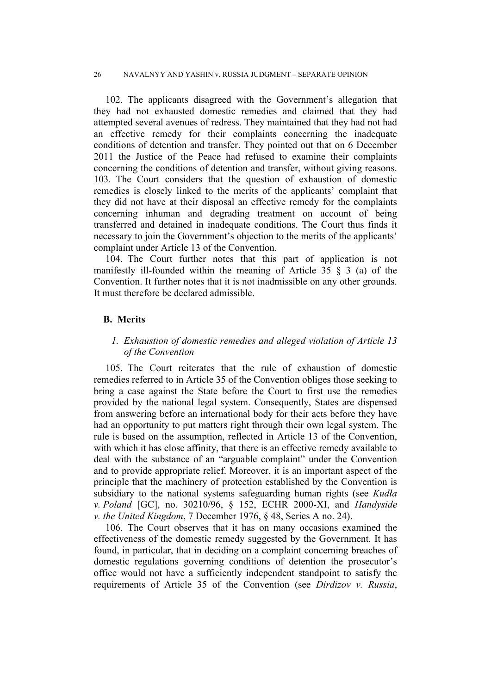102. The applicants disagreed with the Government's allegation that they had not exhausted domestic remedies and claimed that they had attempted several avenues of redress. They maintained that they had not had an effective remedy for their complaints concerning the inadequate conditions of detention and transfer. They pointed out that on 6 December 2011 the Justice of the Peace had refused to examine their complaints concerning the conditions of detention and transfer, without giving reasons. 103. The Court considers that the question of exhaustion of domestic remedies is closely linked to the merits of the applicants' complaint that they did not have at their disposal an effective remedy for the complaints concerning inhuman and degrading treatment on account of being transferred and detained in inadequate conditions. The Court thus finds it necessary to join the Government's objection to the merits of the applicants' complaint under Article 13 of the Convention.

104. The Court further notes that this part of application is not manifestly ill-founded within the meaning of Article 35 § 3 (a) of the Convention. It further notes that it is not inadmissible on any other grounds. It must therefore be declared admissible.

## **B. Merits**

# *1. Exhaustion of domestic remedies and alleged violation of Article 13 of the Convention*

105. The Court reiterates that the rule of exhaustion of domestic remedies referred to in Article 35 of the Convention obliges those seeking to bring a case against the State before the Court to first use the remedies provided by the national legal system. Consequently, States are dispensed from answering before an international body for their acts before they have had an opportunity to put matters right through their own legal system. The rule is based on the assumption, reflected in Article 13 of the Convention, with which it has close affinity, that there is an effective remedy available to deal with the substance of an "arguable complaint" under the Convention and to provide appropriate relief. Moreover, it is an important aspect of the principle that the machinery of protection established by the Convention is subsidiary to the national systems safeguarding human rights (see *Kudła v. Poland* [GC], no. [30210/96,](http://hudoc.echr.coe.int/sites/eng/Pages/search.aspx#%7B) § 152, ECHR 2000-XI, and *Handyside v. the United Kingdom*, 7 December 1976, § 48, Series A no. 24).

106. The Court observes that it has on many occasions examined the effectiveness of the domestic remedy suggested by the Government. It has found, in particular, that in deciding on a complaint concerning breaches of domestic regulations governing conditions of detention the prosecutor's office would not have a sufficiently independent standpoint to satisfy the requirements of Article 35 of the Convention (see *Dirdizov v. Russia*,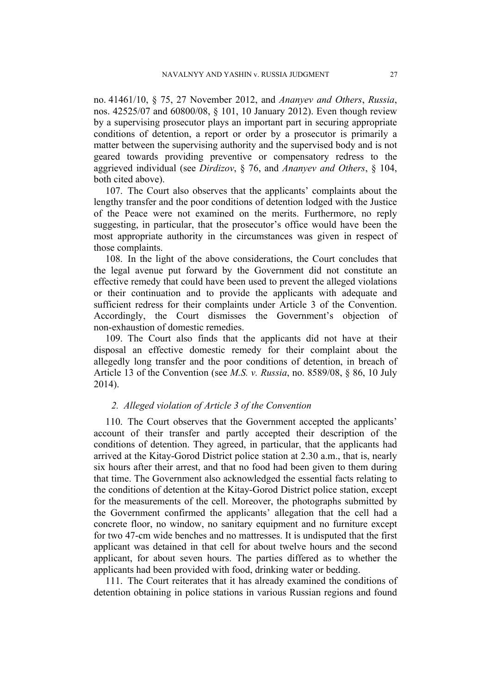no. [41461/10](http://hudoc.echr.coe.int/sites/eng/Pages/search.aspx#%7B), § 75, 27 November 2012, and *Ananyev and Others*, *Russia*, nos. 42525/07 and 60800/08, § 101, 10 January 2012). Even though review by a supervising prosecutor plays an important part in securing appropriate conditions of detention, a report or order by a prosecutor is primarily a matter between the supervising authority and the supervised body and is not geared towards providing preventive or compensatory redress to the aggrieved individual (see *Dirdizov*, § 76, and *Ananyev and Others*, § 104, both cited above).

107. The Court also observes that the applicants' complaints about the lengthy transfer and the poor conditions of detention lodged with the Justice of the Peace were not examined on the merits. Furthermore, no reply suggesting, in particular, that the prosecutor's office would have been the most appropriate authority in the circumstances was given in respect of those complaints.

108. In the light of the above considerations, the Court concludes that the legal avenue put forward by the Government did not constitute an effective remedy that could have been used to prevent the alleged violations or their continuation and to provide the applicants with adequate and sufficient redress for their complaints under Article 3 of the Convention. Accordingly, the Court dismisses the Government's objection of non-exhaustion of domestic remedies.

109. The Court also finds that the applicants did not have at their disposal an effective domestic remedy for their complaint about the allegedly long transfer and the poor conditions of detention, in breach of Article 13 of the Convention (see *M.S. v. Russia*, no. 8589/08, § 86, 10 July 2014).

### *2. Alleged violation of Article 3 of the Convention*

110. The Court observes that the Government accepted the applicants' account of their transfer and partly accepted their description of the conditions of detention. They agreed, in particular, that the applicants had arrived at the Kitay-Gorod District police station at 2.30 a.m., that is, nearly six hours after their arrest, and that no food had been given to them during that time. The Government also acknowledged the essential facts relating to the conditions of detention at the Kitay-Gorod District police station, except for the measurements of the cell. Moreover, the photographs submitted by the Government confirmed the applicants' allegation that the cell had a concrete floor, no window, no sanitary equipment and no furniture except for two 47-cm wide benches and no mattresses. It is undisputed that the first applicant was detained in that cell for about twelve hours and the second applicant, for about seven hours. The parties differed as to whether the applicants had been provided with food, drinking water or bedding.

111. The Court reiterates that it has already examined the conditions of detention obtaining in police stations in various Russian regions and found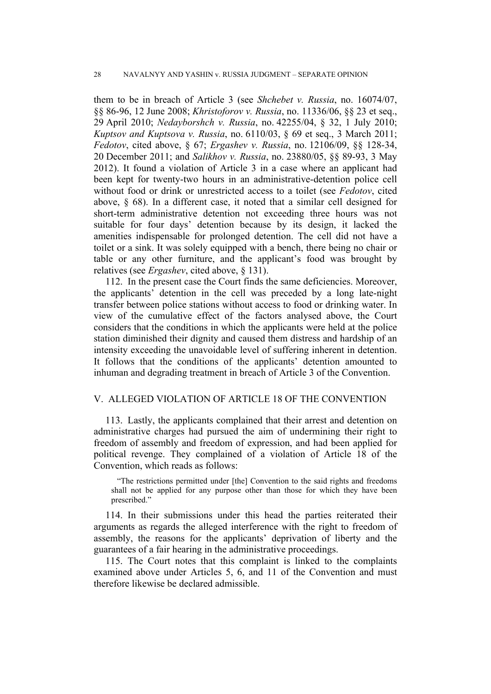them to be in breach of Article 3 (see *Shchebet v. Russia*, no. [16074/07,](http://hudoc.echr.coe.int/sites/eng/Pages/search.aspx#%7B) §§ 86-96, 12 June 2008; *Khristoforov v. Russia*, no. [11336/06](http://hudoc.echr.coe.int/sites/eng/Pages/search.aspx#%7B), §§ 23 et seq., 29 April 2010; *Nedayborshch v. Russia*, no. [42255/04,](http://hudoc.echr.coe.int/sites/eng/Pages/search.aspx#%7B) § 32, 1 July 2010; *Kuptsov and Kuptsova v. Russia*, no. [6110/03](http://hudoc.echr.coe.int/sites/eng/Pages/search.aspx#%7B), § 69 et seq., 3 March 2011; *Fedotov*, cited above, § 67; *Ergashev v. Russia*, no. 12106/09, §§ 128-34, 20 December 2011; and *Salikhov v. Russia*, no. 23880/05, §§ 89-93, 3 May 2012). It found a violation of Article 3 in a case where an applicant had been kept for twenty-two hours in an administrative-detention police cell without food or drink or unrestricted access to a toilet (see *Fedotov*, cited above, § 68). In a different case, it noted that a similar cell designed for short-term administrative detention not exceeding three hours was not suitable for four days' detention because by its design, it lacked the amenities indispensable for prolonged detention. The cell did not have a toilet or a sink. It was solely equipped with a bench, there being no chair or table or any other furniture, and the applicant's food was brought by relatives (see *Ergashev*, cited above, § 131).

112. In the present case the Court finds the same deficiencies. Moreover, the applicants' detention in the cell was preceded by a long late-night transfer between police stations without access to food or drinking water. In view of the cumulative effect of the factors analysed above, the Court considers that the conditions in which the applicants were held at the police station diminished their dignity and caused them distress and hardship of an intensity exceeding the unavoidable level of suffering inherent in detention. It follows that the conditions of the applicants' detention amounted to inhuman and degrading treatment in breach of Article 3 of the Convention.

## V. ALLEGED VIOLATION OF ARTICLE 18 OF THE CONVENTION

113. Lastly, the applicants complained that their arrest and detention on administrative charges had pursued the aim of undermining their right to freedom of assembly and freedom of expression, and had been applied for political revenge. They complained of a violation of Article 18 of the Convention, which reads as follows:

"The restrictions permitted under [the] Convention to the said rights and freedoms shall not be applied for any purpose other than those for which they have been prescribed."

114. In their submissions under this head the parties reiterated their arguments as regards the alleged interference with the right to freedom of assembly, the reasons for the applicants' deprivation of liberty and the guarantees of a fair hearing in the administrative proceedings.

115. The Court notes that this complaint is linked to the complaints examined above under Articles 5, 6, and 11 of the Convention and must therefore likewise be declared admissible.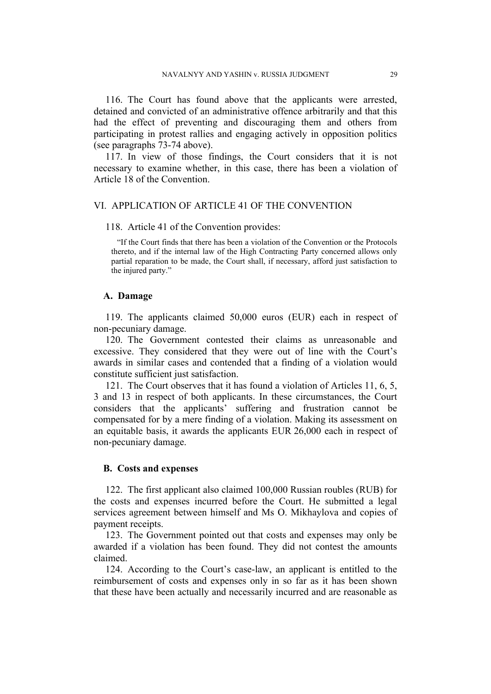116. The Court has found above that the applicants were arrested, detained and convicted of an administrative offence arbitrarily and that this had the effect of preventing and discouraging them and others from participating in protest rallies and engaging actively in opposition politics (see paragraphs 73-74 above).

117. In view of those findings, the Court considers that it is not necessary to examine whether, in this case, there has been a violation of Article 18 of the Convention.

## VI. APPLICATION OF ARTICLE 41 OF THE CONVENTION

#### 118. Article 41 of the Convention provides:

"If the Court finds that there has been a violation of the Convention or the Protocols thereto, and if the internal law of the High Contracting Party concerned allows only partial reparation to be made, the Court shall, if necessary, afford just satisfaction to the injured party."

#### **A. Damage**

119. The applicants claimed 50,000 euros (EUR) each in respect of non-pecuniary damage.

120. The Government contested their claims as unreasonable and excessive. They considered that they were out of line with the Court's awards in similar cases and contended that a finding of a violation would constitute sufficient just satisfaction.

121. The Court observes that it has found a violation of Articles 11, 6, 5, 3 and 13 in respect of both applicants. In these circumstances, the Court considers that the applicants' suffering and frustration cannot be compensated for by a mere finding of a violation. Making its assessment on an equitable basis, it awards the applicants EUR 26,000 each in respect of non-pecuniary damage.

## **B. Costs and expenses**

122. The first applicant also claimed 100,000 Russian roubles (RUB) for the costs and expenses incurred before the Court. He submitted a legal services agreement between himself and Ms O. Mikhaylova and copies of payment receipts.

123. The Government pointed out that costs and expenses may only be awarded if a violation has been found. They did not contest the amounts claimed.

124. According to the Court's case-law, an applicant is entitled to the reimbursement of costs and expenses only in so far as it has been shown that these have been actually and necessarily incurred and are reasonable as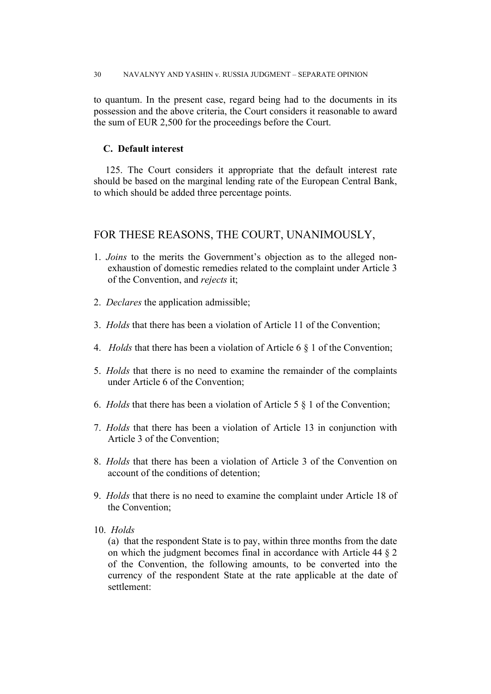to quantum. In the present case, regard being had to the documents in its possession and the above criteria, the Court considers it reasonable to award the sum of EUR 2,500 for the proceedings before the Court.

# **C. Default interest**

125. The Court considers it appropriate that the default interest rate should be based on the marginal lending rate of the European Central Bank, to which should be added three percentage points.

# FOR THESE REASONS, THE COURT, UNANIMOUSLY,

- 1. *Joins* to the merits the Government's objection as to the alleged nonexhaustion of domestic remedies related to the complaint under Article 3 of the Convention, and *rejects* it;
- 2. *Declares* the application admissible;
- 3. *Holds* that there has been a violation of Article 11 of the Convention;
- 4. *Holds* that there has been a violation of Article 6 § 1 of the Convention;
- 5. *Holds* that there is no need to examine the remainder of the complaints under Article 6 of the Convention;
- 6. *Holds* that there has been a violation of Article 5 § 1 of the Convention;
- 7. *Holds* that there has been a violation of Article 13 in conjunction with Article 3 of the Convention;
- 8. *Holds* that there has been a violation of Article 3 of the Convention on account of the conditions of detention;
- 9. *Holds* that there is no need to examine the complaint under Article 18 of the Convention;
- 10. *Holds*

(a) that the respondent State is to pay, within three months from the date on which the judgment becomes final in accordance with Article 44 § 2 of the Convention, the following amounts, to be converted into the currency of the respondent State at the rate applicable at the date of settlement: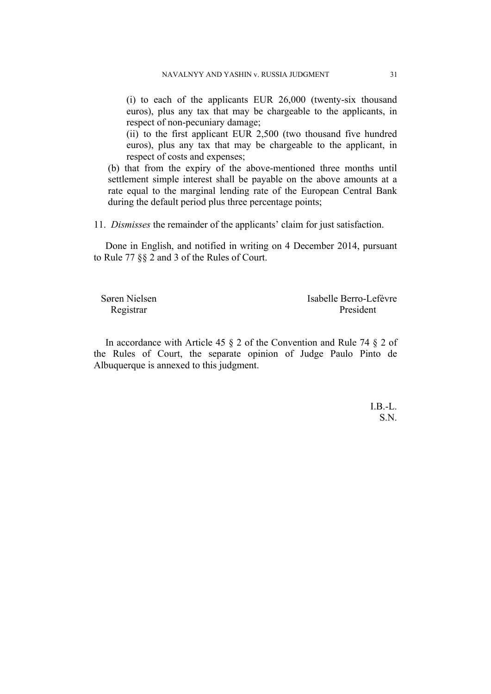(i) to each of the applicants EUR 26,000 (twenty-six thousand euros), plus any tax that may be chargeable to the applicants, in respect of non-pecuniary damage;

(ii) to the first applicant EUR 2,500 (two thousand five hundred euros), plus any tax that may be chargeable to the applicant, in respect of costs and expenses;

(b) that from the expiry of the above-mentioned three months until settlement simple interest shall be payable on the above amounts at a rate equal to the marginal lending rate of the European Central Bank during the default period plus three percentage points;

11. *Dismisses* the remainder of the applicants' claim for just satisfaction.

Done in English, and notified in writing on 4 December 2014, pursuant to Rule 77 §§ 2 and 3 of the Rules of Court.

| Søren Nielsen | Isabelle Berro-Lefèvre |
|---------------|------------------------|
| Registrar     | President              |

In accordance with Article 45 § 2 of the Convention and Rule 74 § 2 of the Rules of Court, the separate opinion of Judge Paulo Pinto de Albuquerque is annexed to this judgment.

> $I.B.-L.$ S.N.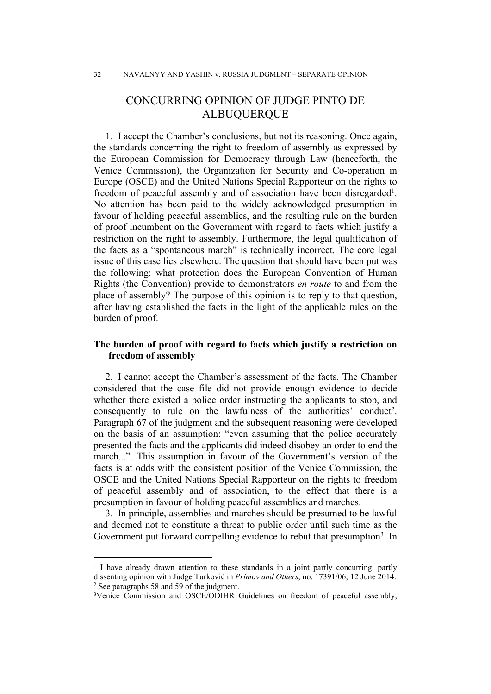# CONCURRING OPINION OF JUDGE PINTO DE ALBUQUERQUE

1. I accept the Chamber's conclusions, but not its reasoning. Once again, the standards concerning the right to freedom of assembly as expressed by the European Commission for Democracy through Law (henceforth, the Venice Commission), the Organization for Security and Co-operation in Europe (OSCE) and the United Nations Special Rapporteur on the rights to freedom of peaceful assembly and of association have been disregarded<sup>1</sup>. No attention has been paid to the widely acknowledged presumption in favour of holding peaceful assemblies, and the resulting rule on the burden of proof incumbent on the Government with regard to facts which justify a restriction on the right to assembly. Furthermore, the legal qualification of the facts as a "spontaneous march" is technically incorrect. The core legal issue of this case lies elsewhere. The question that should have been put was the following: what protection does the European Convention of Human Rights (the Convention) provide to demonstrators *en route* to and from the place of assembly? The purpose of this opinion is to reply to that question, after having established the facts in the light of the applicable rules on the burden of proof.

# **The burden of proof with regard to facts which justify a restriction on freedom of assembly**

2. I cannot accept the Chamber's assessment of the facts. The Chamber considered that the case file did not provide enough evidence to decide whether there existed a police order instructing the applicants to stop, and consequently to rule on the lawfulness of the authorities' conduct<sup>2</sup>. Paragraph 67 of the judgment and the subsequent reasoning were developed on the basis of an assumption: "even assuming that the police accurately presented the facts and the applicants did indeed disobey an order to end the march...". This assumption in favour of the Government's version of the facts is at odds with the consistent position of the Venice Commission, the OSCE and the United Nations Special Rapporteur on the rights to freedom of peaceful assembly and of association, to the effect that there is a presumption in favour of holding peaceful assemblies and marches.

3. In principle, assemblies and marches should be presumed to be lawful and deemed not to constitute a threat to public order until such time as the Government put forward compelling evidence to rebut that presumption<sup>3</sup>. In

<sup>&</sup>lt;sup>1</sup> I have already drawn attention to these standards in a joint partly concurring, partly dissenting opinion with Judge Turković in *Primov and Others*, no. 17391/06, 12 June 2014. <sup>2</sup> See paragraphs 58 and 59 of the judgment.

<sup>&</sup>lt;sup>3</sup>Venice Commission and OSCE/ODIHR Guidelines on freedom of peaceful assembly,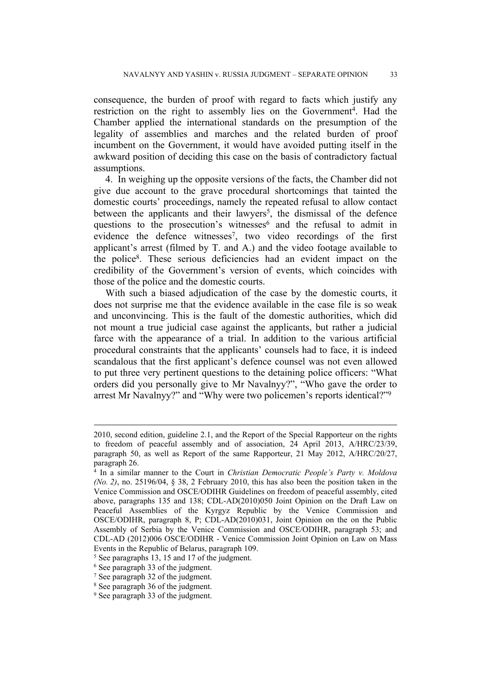consequence, the burden of proof with regard to facts which justify any restriction on the right to assembly lies on the Government<sup>4</sup>. Had the Chamber applied the international standards on the presumption of the legality of assemblies and marches and the related burden of proof incumbent on the Government, it would have avoided putting itself in the awkward position of deciding this case on the basis of contradictory factual assumptions.

4. In weighing up the opposite versions of the facts, the Chamber did not give due account to the grave procedural shortcomings that tainted the domestic courts' proceedings, namely the repeated refusal to allow contact between the applicants and their lawyers<sup>5</sup>, the dismissal of the defence questions to the prosecution's witnesses<sup>6</sup> and the refusal to admit in evidence the defence witnesses<sup>7</sup>, two video recordings of the first applicant's arrest (filmed by T. and A.) and the video footage available to the police<sup>8</sup> . These serious deficiencies had an evident impact on the credibility of the Government's version of events, which coincides with those of the police and the domestic courts.

With such a biased adjudication of the case by the domestic courts, it does not surprise me that the evidence available in the case file is so weak and unconvincing. This is the fault of the domestic authorities, which did not mount a true judicial case against the applicants, but rather a judicial farce with the appearance of a trial. In addition to the various artificial procedural constraints that the applicants' counsels had to face, it is indeed scandalous that the first applicant's defence counsel was not even allowed to put three very pertinent questions to the detaining police officers: "What orders did you personally give to Mr Navalnyy?", "Who gave the order to arrest Mr Navalnyy?" and "Why were two policemen's reports identical?"<sup>9</sup>

<sup>2010,</sup> second edition, guideline 2.1, and the Report of the Special Rapporteur on the rights to freedom of peaceful assembly and of association, 24 April 2013, A/HRC/23/39, paragraph 50, as well as Report of the same Rapporteur, 21 May 2012, A/HRC/20/27, paragraph 26.

<sup>4</sup> In a similar manner to the Court in *Christian Democratic People's Party v. Moldova (No. 2)*, no. 25196/04, § 38, 2 February 2010, this has also been the position taken in the Venice Commission and OSCE/ODIHR Guidelines on freedom of peaceful assembly, cited above, paragraphs 135 and 138; CDL-AD(2010)050 Joint Opinion on the Draft Law on Peaceful Assemblies of the Kyrgyz Republic by the Venice Commission and OSCE/ODIHR, paragraph 8, P; CDL-AD(2010)031, Joint Opinion on the on the Public Assembly of Serbia by the Venice Commission and OSCE/ODIHR, paragraph 53; and CDL-AD (2012)006 OSCE/ODIHR - Venice Commission Joint Opinion on Law on Mass Events in the Republic of Belarus, paragraph 109.

<sup>5</sup> See paragraphs 13, 15 and 17 of the judgment.

<sup>6</sup> See paragraph 33 of the judgment.

<sup>7</sup> See paragraph 32 of the judgment.

<sup>8</sup> See paragraph 36 of the judgment.

<sup>&</sup>lt;sup>9</sup> See paragraph 33 of the judgment.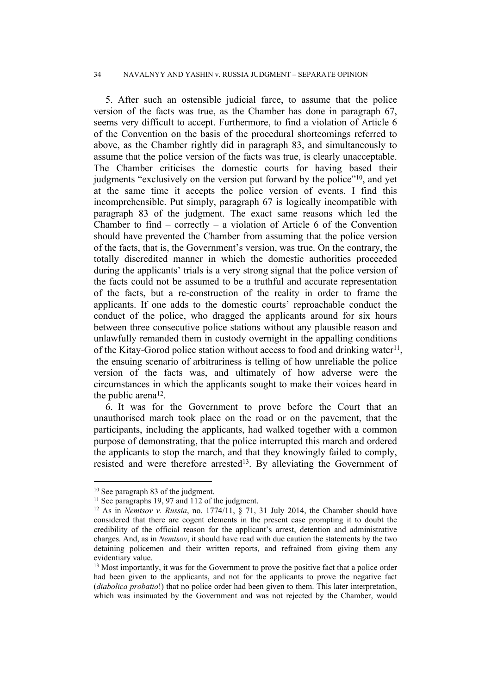#### 34 NAVALNYY AND YASHIN v. RUSSIA JUDGMENT – SEPARATE OPINION

5. After such an ostensible judicial farce, to assume that the police version of the facts was true, as the Chamber has done in paragraph 67, seems very difficult to accept. Furthermore, to find a violation of Article 6 of the Convention on the basis of the procedural shortcomings referred to above, as the Chamber rightly did in paragraph 83, and simultaneously to assume that the police version of the facts was true, is clearly unacceptable. The Chamber criticises the domestic courts for having based their judgments "exclusively on the version put forward by the police"<sup>10</sup>, and yet at the same time it accepts the police version of events. I find this incomprehensible. Put simply, paragraph 67 is logically incompatible with paragraph 83 of the judgment. The exact same reasons which led the Chamber to find – correctly – a violation of Article 6 of the Convention should have prevented the Chamber from assuming that the police version of the facts, that is, the Government's version, was true. On the contrary, the totally discredited manner in which the domestic authorities proceeded during the applicants' trials is a very strong signal that the police version of the facts could not be assumed to be a truthful and accurate representation of the facts, but a re-construction of the reality in order to frame the applicants. If one adds to the domestic courts' reproachable conduct the conduct of the police, who dragged the applicants around for six hours between three consecutive police stations without any plausible reason and unlawfully remanded them in custody overnight in the appalling conditions of the Kitay-Gorod police station without access to food and drinking water<sup>11</sup>, the ensuing scenario of arbitrariness is telling of how unreliable the police version of the facts was, and ultimately of how adverse were the circumstances in which the applicants sought to make their voices heard in the public arena<sup>12</sup>.

6. It was for the Government to prove before the Court that an unauthorised march took place on the road or on the pavement, that the participants, including the applicants, had walked together with a common purpose of demonstrating, that the police interrupted this march and ordered the applicants to stop the march, and that they knowingly failed to comply, resisted and were therefore arrested<sup>13</sup>. By alleviating the Government of

<sup>10</sup> See paragraph 83 of the judgment.

<sup>&</sup>lt;sup>11</sup> See paragraphs 19, 97 and 112 of the judgment.

<sup>12</sup> As in *Nemtsov v. Russia*, no. 1774/11, § 71, 31 July 2014, the Chamber should have considered that there are cogent elements in the present case prompting it to doubt the credibility of the official reason for the applicant's arrest, detention and administrative charges. And, as in *Nemtsov*, it should have read with due caution the statements by the two detaining policemen and their written reports, and refrained from giving them any evidentiary value.

<sup>&</sup>lt;sup>13</sup> Most importantly, it was for the Government to prove the positive fact that a police order had been given to the applicants, and not for the applicants to prove the negative fact (*diabolica probatio*!) that no police order had been given to them. This later interpretation, which was insinuated by the Government and was not rejected by the Chamber, would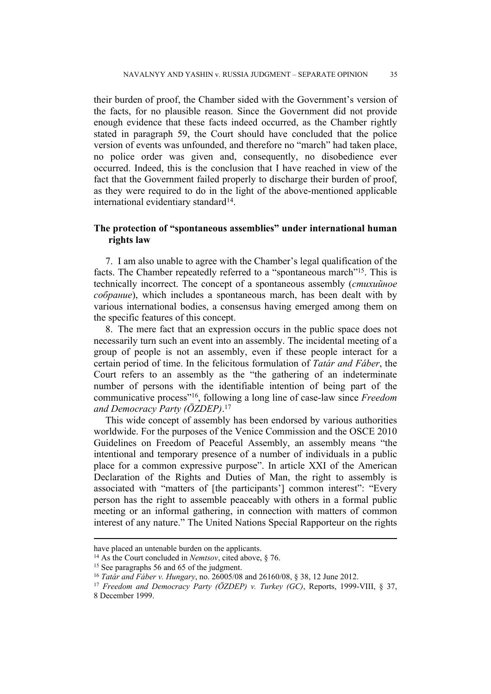their burden of proof, the Chamber sided with the Government's version of the facts, for no plausible reason. Since the Government did not provide enough evidence that these facts indeed occurred, as the Chamber rightly stated in paragraph 59, the Court should have concluded that the police version of events was unfounded, and therefore no "march" had taken place, no police order was given and, consequently, no disobedience ever occurred. Indeed, this is the conclusion that I have reached in view of the fact that the Government failed properly to discharge their burden of proof, as they were required to do in the light of the above-mentioned applicable international evidentiary standard<sup>14</sup>.

# **The protection of "spontaneous assemblies" under international human rights law**

7. I am also unable to agree with the Chamber's legal qualification of the facts. The Chamber repeatedly referred to a "spontaneous march"<sup>15</sup>. This is technically incorrect. The concept of a spontaneous assembly (*стихийное собрание*), which includes a spontaneous march, has been dealt with by various international bodies, a consensus having emerged among them on the specific features of this concept.

8. The mere fact that an expression occurs in the public space does not necessarily turn such an event into an assembly. The incidental meeting of a group of people is not an assembly, even if these people interact for a certain period of time. In the felicitous formulation of *Tatár and Fáber*, the Court refers to an assembly as the "the gathering of an indeterminate number of persons with the identifiable intention of being part of the communicative process"<sup>16</sup> , following a long line of case-law since *Freedom and Democracy Party (ÖZDEP)*. 17

This wide concept of assembly has been endorsed by various authorities worldwide. For the purposes of the Venice Commission and the OSCE 2010 Guidelines on Freedom of Peaceful Assembly, an assembly means "the intentional and temporary presence of a number of individuals in a public place for a common expressive purpose". In article XXI of the American Declaration of the Rights and Duties of Man, the right to assembly is associated with "matters of [the participants'] common interest": "Every person has the right to assemble peaceably with others in a formal public meeting or an informal gathering, in connection with matters of common interest of any nature." The United Nations Special Rapporteur on the rights

have placed an untenable burden on the applicants.

<sup>14</sup> As the Court concluded in *Nemtsov*, cited above, § 76.

<sup>15</sup> See paragraphs 56 and 65 of the judgment.

<sup>16</sup> *Tatár and Fáber v. Hungary*, no. 26005/08 and 26160/08, § 38, 12 June 2012.

<sup>17</sup> *Freedom and Democracy Party (ÖZDEP) v. Turkey (GC)*, Reports, 1999-VIII, § 37, 8 December 1999.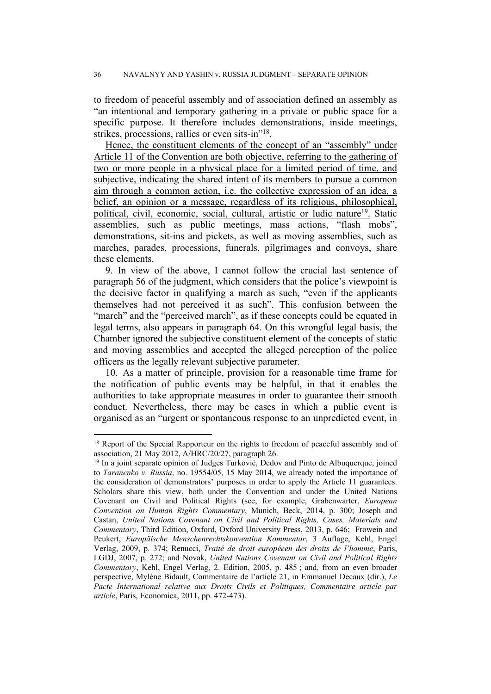to freedom of peaceful assembly and of association defined an assembly as "an intentional and temporary gathering in a private or public space for a specific purpose. It therefore includes demonstrations, inside meetings, strikes, processions, rallies or even sits-in"<sup>18</sup>.

Hence, the constituent elements of the concept of an "assembly" under Article 11 of the Convention are both objective, referring to the gathering of two or more people in a physical place for a limited period of time, and subjective, indicating the shared intent of its members to pursue a common aim through a common action, i.e. the collective expression of an idea, a belief, an opinion or a message, regardless of its religious, philosophical, political, civil, economic, social, cultural, artistic or ludic nature<sup>19</sup>. Static assemblies, such as public meetings, mass actions, "flash mobs", demonstrations, sit-ins and pickets, as well as moving assemblies, such as marches, parades, processions, funerals, pilgrimages and convoys, share these elements.

9. In view of the above, I cannot follow the crucial last sentence of paragraph 56 of the judgment, which considers that the police's viewpoint is the decisive factor in qualifying a march as such, "even if the applicants themselves had not perceived it as such". This confusion between the "march" and the "perceived march", as if these concepts could be equated in legal terms, also appears in paragraph 64. On this wrongful legal basis, the Chamber ignored the subjective constituent element of the concepts of static and moving assemblies and accepted the alleged perception of the police officers as the legally relevant subjective parameter.

10. As a matter of principle, provision for a reasonable time frame for the notification of public events may be helpful, in that it enables the authorities to take appropriate measures in order to guarantee their smooth conduct. Nevertheless, there may be cases in which a public event is organised as an "urgent or spontaneous response to an unpredicted event, in

<sup>&</sup>lt;sup>18</sup> Report of the Special Rapporteur on the rights to freedom of peaceful assembly and of association, 21 May 2012, A/HRC/20/27, paragraph 26.

<sup>19</sup> In a joint separate opinion of Judges Turković, Dedov and Pinto de Albuquerque, joined to *Taranenko v. Russia*, no. 19554/05, 15 May 2014, we already noted the importance of the consideration of demonstrators' purposes in order to apply the Article 11 guarantees. Scholars share this view, both under the Convention and under the United Nations Covenant on Civil and Political Rights (see, for example, Grabenwarter, *European Convention on Human Rights Commentary*, Munich, Beck, 2014, p. 300; Joseph and Castan, *United Nations Covenant on Civil and Political Rights, Cases, Materials and Commentary*, Third Edition, Oxford, Oxford University Press, 2013, p. 646; Frowein and Peukert, *Europäische Menschenrechtskonvention Kommentar*, 3 Auflage, Kehl, Engel Verlag, 2009, p. 374; Renucci, *Traité de droit européeen des droits de l'homme*, Paris, LGDJ, 2007, p. 272; and Novak, *United Nations Covenant on Civil and Political Rights Commentary*, Kehl, Engel Verlag, 2. Edition, 2005, p. 485 ; and, from an even broader perspective, Mylène Bidault, Commentaire de l'article 21, in Emmanuel Decaux (dir.), *Le Pacte International relative aux Droits Civils et Politiques, Commentaire article par article*, Paris, Economica, 2011, pp. 472-473).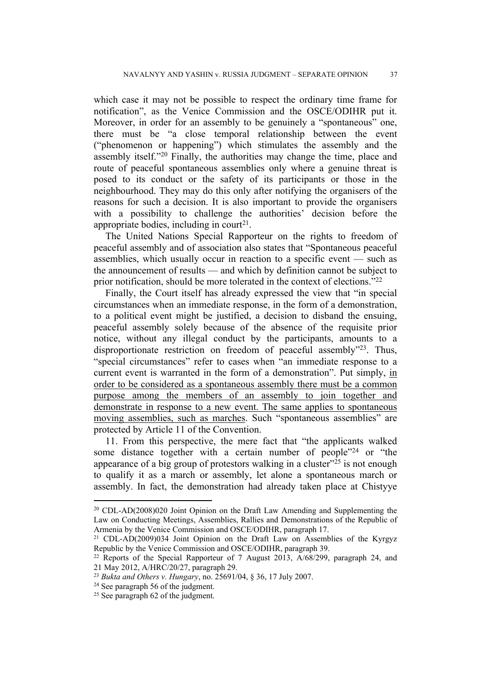which case it may not be possible to respect the ordinary time frame for notification", as the Venice Commission and the OSCE/ODIHR put it. Moreover, in order for an assembly to be genuinely a "spontaneous" one, there must be "a close temporal relationship between the event ("phenomenon or happening") which stimulates the assembly and the assembly itself."<sup>20</sup> Finally, the authorities may change the time, place and route of peaceful spontaneous assemblies only where a genuine threat is posed to its conduct or the safety of its participants or those in the neighbourhood. They may do this only after notifying the organisers of the reasons for such a decision. It is also important to provide the organisers with a possibility to challenge the authorities' decision before the appropriate bodies, including in court<sup>21</sup>.

The United Nations Special Rapporteur on the rights to freedom of peaceful assembly and of association also states that "Spontaneous peaceful assemblies, which usually occur in reaction to a specific event — such as the announcement of results — and which by definition cannot be subject to prior notification, should be more tolerated in the context of elections."<sup>22</sup>

Finally, the Court itself has already expressed the view that "in special circumstances when an immediate response, in the form of a demonstration, to a political event might be justified, a decision to disband the ensuing, peaceful assembly solely because of the absence of the requisite prior notice, without any illegal conduct by the participants, amounts to a disproportionate restriction on freedom of peaceful assembly"<sup>23</sup>. Thus, "special circumstances" refer to cases when "an immediate response to a current event is warranted in the form of a demonstration". Put simply, in order to be considered as a spontaneous assembly there must be a common purpose among the members of an assembly to join together and demonstrate in response to a new event. The same applies to spontaneous moving assemblies, such as marches. Such "spontaneous assemblies" are protected by Article 11 of the Convention.

11. From this perspective, the mere fact that "the applicants walked some distance together with a certain number of people<sup>"24</sup> or "the appearance of a big group of protestors walking in a cluster"<sup>25</sup> is not enough to qualify it as a march or assembly, let alone a spontaneous march or assembly. In fact, the demonstration had already taken place at Chistyye

<sup>20</sup> CDL-AD(2008)020 Joint Opinion on the Draft Law Amending and Supplementing the Law on Conducting Meetings, Assemblies, Rallies and Demonstrations of the Republic of Armenia by the Venice Commission and OSCE/ODIHR, paragraph 17.

<sup>21</sup> CDL-AD(2009)034 Joint Opinion on the Draft Law on Assemblies of the Kyrgyz Republic by the Venice Commission and OSCE/ODIHR, paragraph 39.

<sup>22</sup> Reports of the Special Rapporteur of 7 August 2013, A/68/299, paragraph 24, and 21 May 2012, A/HRC/20/27, paragraph 29.

<sup>23</sup> *Bukta and Others v. Hungary*, no. 25691/04, § 36, 17 July 2007.

<sup>24</sup> See paragraph 56 of the judgment.

<sup>25</sup> See paragraph 62 of the judgment.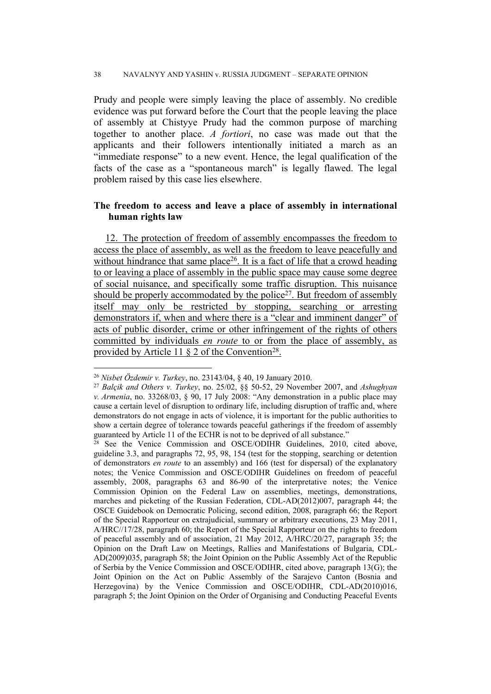Prudy and people were simply leaving the place of assembly. No credible evidence was put forward before the Court that the people leaving the place of assembly at Chistyye Prudy had the common purpose of marching together to another place. *A fortiori*, no case was made out that the applicants and their followers intentionally initiated a march as an "immediate response" to a new event. Hence, the legal qualification of the facts of the case as a "spontaneous march" is legally flawed. The legal problem raised by this case lies elsewhere.

# **The freedom to access and leave a place of assembly in international human rights law**

12. The protection of freedom of assembly encompasses the freedom to access the place of assembly, as well as the freedom to leave peacefully and without hindrance that same place<sup>26</sup>. It is a fact of life that a crowd heading to or leaving a place of assembly in the public space may cause some degree of social nuisance, and specifically some traffic disruption. This nuisance should be properly accommodated by the police<sup>27</sup>. But freedom of assembly itself may only be restricted by stopping, searching or arresting demonstrators if, when and where there is a "clear and imminent danger" of acts of public disorder, crime or other infringement of the rights of others committed by individuals *en route* to or from the place of assembly, as provided by Article 11 § 2 of the Convention<sup>28</sup>.

<sup>26</sup> *Nisbet Özdemir v. Turkey*, no. 23143/04, § 40, 19 January 2010.

<sup>27</sup> *Balçik and Others v. Turkey*, no. 25/02, §§ 50-52, 29 November 2007, and *Ashughyan v. Armenia*, no. 33268/03, § 90, 17 July 2008: "Any demonstration in a public place may cause a certain level of disruption to ordinary life, including disruption of traffic and, where demonstrators do not engage in acts of violence, it is important for the public authorities to show a certain degree of tolerance towards peaceful gatherings if the freedom of assembly guaranteed by Article 11 of the ECHR is not to be deprived of all substance."

<sup>&</sup>lt;sup>28</sup> See the Venice Commission and OSCE/ODIHR Guidelines, 2010, cited above, guideline 3.3, and paragraphs 72, 95, 98, 154 (test for the stopping, searching or detention of demonstrators *en route* to an assembly) and 166 (test for dispersal) of the explanatory notes; the Venice Commission and OSCE/ODIHR Guidelines on freedom of peaceful assembly, 2008, paragraphs 63 and 86-90 of the interpretative notes; the Venice Commission Opinion on the Federal Law on assemblies, meetings, demonstrations, marches and picketing of the Russian Federation, CDL-AD(2012)007, paragraph 44; the OSCE Guidebook on Democratic Policing, second edition, 2008, paragraph 66; the Report of the Special Rapporteur on extrajudicial, summary or arbitrary executions, 23 May 2011, A/HRC//17/28, paragraph 60; the Report of the Special Rapporteur on the rights to freedom of peaceful assembly and of association, 21 May 2012, A/HRC/20/27, paragraph 35; the Opinion on the Draft Law on Meetings, Rallies and Manifestations of Bulgaria, CDL-AD(2009)035, paragraph 58; the Joint Opinion on the Public Assembly Act of the Republic of Serbia by the Venice Commission and OSCE/ODIHR, cited above, paragraph 13(G); the Joint Opinion on the Act on Public Assembly of the Sarajevo Canton (Bosnia and Herzegovina) by the Venice Commission and OSCE/ODIHR, CDL-AD(2010)016, paragraph 5; the Joint Opinion on the Order of Organising and Conducting Peaceful Events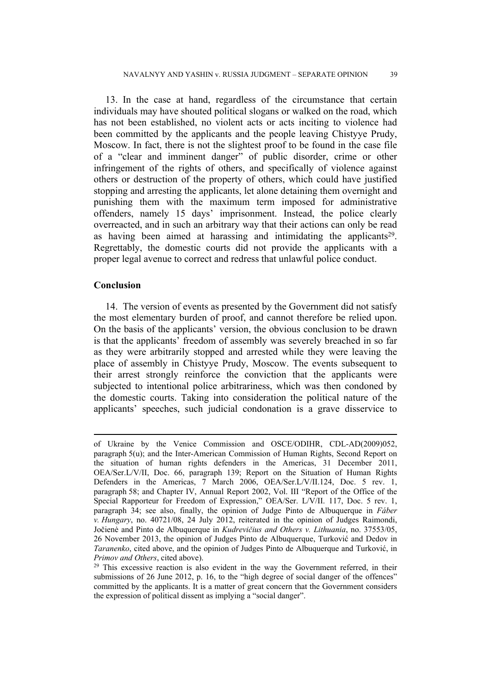13. In the case at hand, regardless of the circumstance that certain individuals may have shouted political slogans or walked on the road, which has not been established, no violent acts or acts inciting to violence had been committed by the applicants and the people leaving Chistyye Prudy, Moscow. In fact, there is not the slightest proof to be found in the case file of a "clear and imminent danger" of public disorder, crime or other infringement of the rights of others, and specifically of violence against others or destruction of the property of others, which could have justified stopping and arresting the applicants, let alone detaining them overnight and punishing them with the maximum term imposed for administrative offenders, namely 15 days' imprisonment. Instead, the police clearly overreacted, and in such an arbitrary way that their actions can only be read as having been aimed at harassing and intimidating the applicants<sup>29</sup>. Regrettably, the domestic courts did not provide the applicants with a proper legal avenue to correct and redress that unlawful police conduct.

## **Conclusion**

14. The version of events as presented by the Government did not satisfy the most elementary burden of proof, and cannot therefore be relied upon. On the basis of the applicants' version, the obvious conclusion to be drawn is that the applicants' freedom of assembly was severely breached in so far as they were arbitrarily stopped and arrested while they were leaving the place of assembly in Chistyye Prudy, Moscow. The events subsequent to their arrest strongly reinforce the conviction that the applicants were subjected to intentional police arbitrariness, which was then condoned by the domestic courts. Taking into consideration the political nature of the applicants' speeches, such judicial condonation is a grave disservice to

of Ukraine by the Venice Commission and OSCE/ODIHR, CDL-AD(2009)052, paragraph 5(u); and the Inter-American Commission of Human Rights, Second Report on the situation of human rights defenders in the Americas, 31 December 2011, OEA/Ser.L/V/II, Doc. 66, paragraph 139; Report on the Situation of Human Rights Defenders in the Americas, 7 March 2006, OEA/Ser.L/V/II.124, Doc. 5 rev. 1, paragraph 58; and Chapter IV, Annual Report 2002, Vol. III "Report of the Office of the Special Rapporteur for Freedom of Expression," OEA/Ser. L/V/II. 117, Doc. 5 rev. 1, paragraph 34; see also, finally, the opinion of Judge Pinto de Albuquerque in *Fáber v. Hungary*, no. 40721/08, 24 July 2012, reiterated in the opinion of Judges Raimondi, Jočienė and Pinto de Albuquerque in *Kudrevičius and Others v. Lithuania*, no. 37553/05, 26 November 2013, the opinion of Judges Pinto de Albuquerque, Turković and Dedov in *Taranenko*, cited above, and the opinion of Judges Pinto de Albuquerque and Turković, in *Primov and Others*, cited above).

 $29$  This excessive reaction is also evident in the way the Government referred, in their submissions of 26 June 2012, p. 16, to the "high degree of social danger of the offences" committed by the applicants. It is a matter of great concern that the Government considers the expression of political dissent as implying a "social danger".